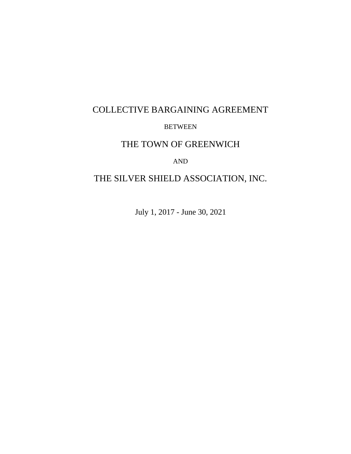# COLLECTIVE BARGAINING AGREEMENT BETWEEN

# THE TOWN OF GREENWICH

# AND

# THE SILVER SHIELD ASSOCIATION, INC.

July 1, 2017 - June 30, 2021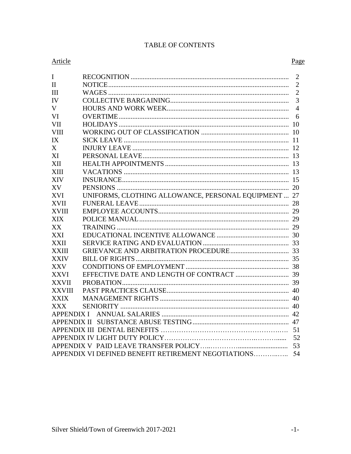# **TABLE OF CONTENTS**

# Article

| $\mathbf I$   |                                                      | $\overline{2}$ |
|---------------|------------------------------------------------------|----------------|
| $\mathbf{H}$  |                                                      | $\overline{2}$ |
| Ш             |                                                      | $\overline{2}$ |
| IV            |                                                      | $\overline{3}$ |
| V             |                                                      | $\overline{4}$ |
| VI            |                                                      | 6              |
| <b>VII</b>    |                                                      |                |
| <b>VIII</b>   |                                                      |                |
| IX            |                                                      |                |
| X             |                                                      |                |
| XI            |                                                      |                |
| XII           |                                                      |                |
| <b>XIII</b>   |                                                      |                |
| <b>XIV</b>    |                                                      |                |
| XV            |                                                      |                |
| <b>XVI</b>    | UNIFORMS, CLOTHING ALLOWANCE, PERSONAL EQUIPMENT  27 |                |
| <b>XVII</b>   |                                                      |                |
| <b>XVIII</b>  |                                                      |                |
| <b>XIX</b>    |                                                      |                |
| XX            |                                                      |                |
| XXI           |                                                      |                |
| <b>XXII</b>   |                                                      |                |
| <b>XXIII</b>  |                                                      |                |
| <b>XXIV</b>   |                                                      |                |
| <b>XXV</b>    |                                                      |                |
| <b>XXVI</b>   |                                                      |                |
| <b>XXVII</b>  |                                                      |                |
| <b>XXVIII</b> |                                                      |                |
| <b>XXIX</b>   |                                                      |                |
| <b>XXX</b>    |                                                      |                |
|               |                                                      |                |
|               |                                                      |                |
|               |                                                      |                |
|               |                                                      | 52             |
|               |                                                      |                |
|               | APPENDIX VI DEFINED BENEFIT RETIREMENT NEGOTIATIONS  | 54             |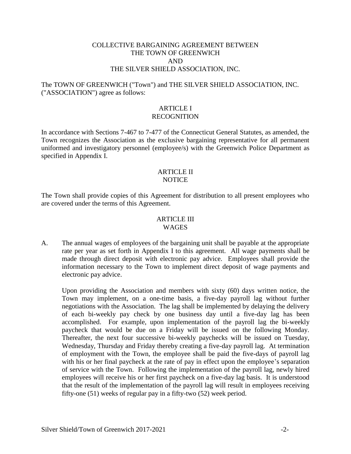#### COLLECTIVE BARGAINING AGREEMENT BETWEEN THE TOWN OF GREENWICH AND THE SILVER SHIELD ASSOCIATION, INC.

# The TOWN OF GREENWICH ("Town") and THE SILVER SHIELD ASSOCIATION, INC. ("ASSOCIATION") agree as follows:

#### ARTICLE I RECOGNITION

In accordance with Sections 7-467 to 7-477 of the Connecticut General Statutes, as amended, the Town recognizes the Association as the exclusive bargaining representative for all permanent uniformed and investigatory personnel (employee/s) with the Greenwich Police Department as specified in Appendix I.

#### ARTICLE II **NOTICE**

The Town shall provide copies of this Agreement for distribution to all present employees who are covered under the terms of this Agreement.

#### **ARTICLE III** WAGES

A. The annual wages of employees of the bargaining unit shall be payable at the appropriate rate per year as set forth in Appendix I to this agreement. All wage payments shall be made through direct deposit with electronic pay advice. Employees shall provide the information necessary to the Town to implement direct deposit of wage payments and electronic pay advice.

Upon providing the Association and members with sixty (60) days written notice, the Town may implement, on a one-time basis, a five-day payroll lag without further negotiations with the Association. The lag shall be implemented by delaying the delivery of each bi-weekly pay check by one business day until a five-day lag has been accomplished. For example, upon implementation of the payroll lag the bi-weekly paycheck that would be due on a Friday will be issued on the following Monday. Thereafter, the next four successive bi-weekly paychecks will be issued on Tuesday, Wednesday, Thursday and Friday thereby creating a five-day payroll lag. At termination of employment with the Town, the employee shall be paid the five-days of payroll lag with his or her final paycheck at the rate of pay in effect upon the employee's separation of service with the Town. Following the implementation of the payroll lag, newly hired employees will receive his or her first paycheck on a five-day lag basis. It is understood that the result of the implementation of the payroll lag will result in employees receiving fifty-one (51) weeks of regular pay in a fifty-two (52) week period.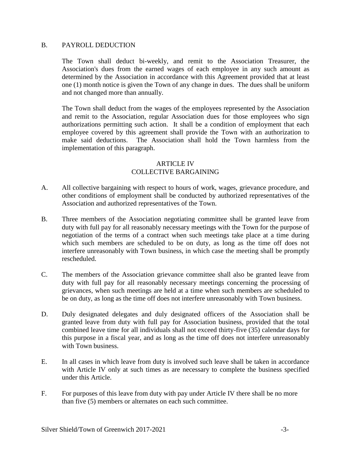#### B. PAYROLL DEDUCTION

The Town shall deduct bi-weekly, and remit to the Association Treasurer, the Association's dues from the earned wages of each employee in any such amount as determined by the Association in accordance with this Agreement provided that at least one (1) month notice is given the Town of any change in dues. The dues shall be uniform and not changed more than annually.

The Town shall deduct from the wages of the employees represented by the Association and remit to the Association, regular Association dues for those employees who sign authorizations permitting such action. It shall be a condition of employment that each employee covered by this agreement shall provide the Town with an authorization to make said deductions. The Association shall hold the Town harmless from the implementation of this paragraph.

#### **ARTICLE IV** COLLECTIVE BARGAINING

- A. All collective bargaining with respect to hours of work, wages, grievance procedure, and other conditions of employment shall be conducted by authorized representatives of the Association and authorized representatives of the Town.
- B. Three members of the Association negotiating committee shall be granted leave from duty with full pay for all reasonably necessary meetings with the Town for the purpose of negotiation of the terms of a contract when such meetings take place at a time during which such members are scheduled to be on duty, as long as the time off does not interfere unreasonably with Town business, in which case the meeting shall be promptly rescheduled.
- C. The members of the Association grievance committee shall also be granted leave from duty with full pay for all reasonably necessary meetings concerning the processing of grievances, when such meetings are held at a time when such members are scheduled to be on duty, as long as the time off does not interfere unreasonably with Town business.
- D. Duly designated delegates and duly designated officers of the Association shall be granted leave from duty with full pay for Association business, provided that the total combined leave time for all individuals shall not exceed thirty-five (35) calendar days for this purpose in a fiscal year, and as long as the time off does not interfere unreasonably with Town business.
- E. In all cases in which leave from duty is involved such leave shall be taken in accordance with Article IV only at such times as are necessary to complete the business specified under this Article.
- F. For purposes of this leave from duty with pay under Article IV there shall be no more than five (5) members or alternates on each such committee.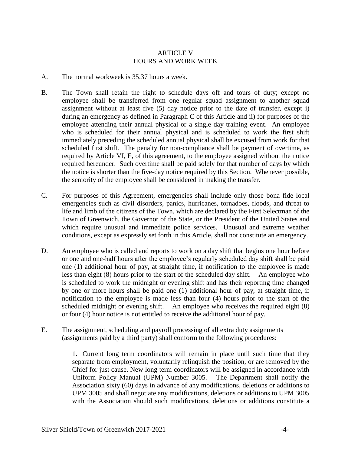#### ARTICLE V HOURS AND WORK WEEK

- A. The normal workweek is 35.37 hours a week.
- B. The Town shall retain the right to schedule days off and tours of duty; except no employee shall be transferred from one regular squad assignment to another squad assignment without at least five (5) day notice prior to the date of transfer, except i) during an emergency as defined in Paragraph C of this Article and ii) for purposes of the employee attending their annual physical or a single day training event. An employee who is scheduled for their annual physical and is scheduled to work the first shift immediately preceding the scheduled annual physical shall be excused from work for that scheduled first shift. The penalty for non-compliance shall be payment of overtime, as required by Article VI, E, of this agreement, to the employee assigned without the notice required hereunder. Such overtime shall be paid solely for that number of days by which the notice is shorter than the five-day notice required by this Section. Whenever possible, the seniority of the employee shall be considered in making the transfer.
- C. For purposes of this Agreement, emergencies shall include only those bona fide local emergencies such as civil disorders, panics, hurricanes, tornadoes, floods, and threat to life and limb of the citizens of the Town, which are declared by the First Selectman of the Town of Greenwich, the Governor of the State, or the President of the United States and which require unusual and immediate police services. Unusual and extreme weather conditions, except as expressly set forth in this Article, shall not constitute an emergency.
- D. An employee who is called and reports to work on a day shift that begins one hour before or one and one-half hours after the employee's regularly scheduled day shift shall be paid one (1) additional hour of pay, at straight time, if notification to the employee is made less than eight (8) hours prior to the start of the scheduled day shift. An employee who is scheduled to work the midnight or evening shift and has their reporting time changed by one or more hours shall be paid one (1) additional hour of pay, at straight time, if notification to the employee is made less than four (4) hours prior to the start of the scheduled midnight or evening shift. An employee who receives the required eight (8) or four (4) hour notice is not entitled to receive the additional hour of pay.
- E. The assignment, scheduling and payroll processing of all extra duty assignments (assignments paid by a third party) shall conform to the following procedures:

1. Current long term coordinators will remain in place until such time that they separate from employment, voluntarily relinquish the position, or are removed by the Chief for just cause. New long term coordinators will be assigned in accordance with Uniform Policy Manual (UPM) Number 3005. The Department shall notify the Association sixty (60) days in advance of any modifications, deletions or additions to UPM 3005 and shall negotiate any modifications, deletions or additions to UPM 3005 with the Association should such modifications, deletions or additions constitute a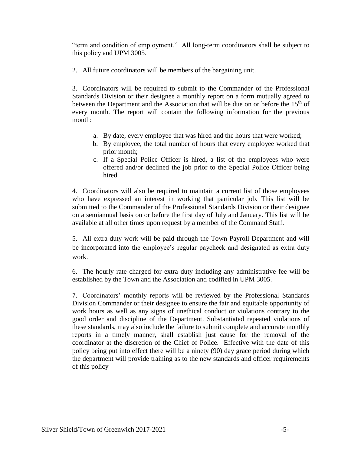"term and condition of employment." All long-term coordinators shall be subject to this policy and UPM 3005.

2. All future coordinators will be members of the bargaining unit.

3. Coordinators will be required to submit to the Commander of the Professional Standards Division or their designee a monthly report on a form mutually agreed to between the Department and the Association that will be due on or before the  $15<sup>th</sup>$  of every month. The report will contain the following information for the previous month:

- a. By date, every employee that was hired and the hours that were worked;
- b. By employee, the total number of hours that every employee worked that prior month;
- c. If a Special Police Officer is hired, a list of the employees who were offered and/or declined the job prior to the Special Police Officer being hired.

4. Coordinators will also be required to maintain a current list of those employees who have expressed an interest in working that particular job. This list will be submitted to the Commander of the Professional Standards Division or their designee on a semiannual basis on or before the first day of July and January. This list will be available at all other times upon request by a member of the Command Staff.

5. All extra duty work will be paid through the Town Payroll Department and will be incorporated into the employee's regular paycheck and designated as extra duty work.

6. The hourly rate charged for extra duty including any administrative fee will be established by the Town and the Association and codified in UPM 3005.

7. Coordinators' monthly reports will be reviewed by the Professional Standards Division Commander or their designee to ensure the fair and equitable opportunity of work hours as well as any signs of unethical conduct or violations contrary to the good order and discipline of the Department. Substantiated repeated violations of these standards, may also include the failure to submit complete and accurate monthly reports in a timely manner, shall establish just cause for the removal of the coordinator at the discretion of the Chief of Police. Effective with the date of this policy being put into effect there will be a ninety (90) day grace period during which the department will provide training as to the new standards and officer requirements of this policy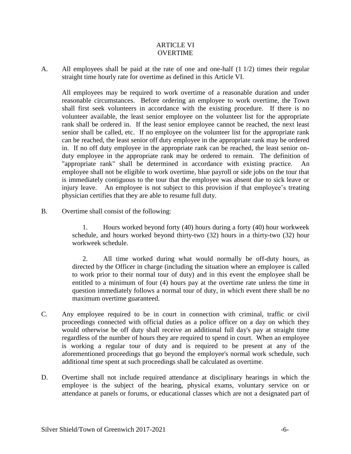#### ARTICLE VI **OVERTIME**

A. All employees shall be paid at the rate of one and one-half (1 1/2) times their regular straight time hourly rate for overtime as defined in this Article VI.

All employees may be required to work overtime of a reasonable duration and under reasonable circumstances. Before ordering an employee to work overtime, the Town shall first seek volunteers in accordance with the existing procedure. If there is no volunteer available, the least senior employee on the volunteer list for the appropriate rank shall be ordered in. If the least senior employee cannot be reached, the next least senior shall be called, etc. If no employee on the volunteer list for the appropriate rank can be reached, the least senior off duty employee in the appropriate rank may be ordered in. If no off duty employee in the appropriate rank can be reached, the least senior onduty employee in the appropriate rank may be ordered to remain. The definition of "appropriate rank" shall be determined in accordance with existing practice. An employee shall not be eligible to work overtime, blue payroll or side jobs on the tour that is immediately contiguous to the tour that the employee was absent due to sick leave or injury leave. An employee is not subject to this provision if that employee's treating physician certifies that they are able to resume full duty.

B. Overtime shall consist of the following:

1. Hours worked beyond forty (40) hours during a forty (40) hour workweek schedule, and hours worked beyond thirty-two (32) hours in a thirty-two (32) hour workweek schedule.

2. All time worked during what would normally be off-duty hours, as directed by the Officer in charge (including the situation where an employee is called to work prior to their normal tour of duty) and in this event the employee shall be entitled to a minimum of four (4) hours pay at the overtime rate unless the time in question immediately follows a normal tour of duty, in which event there shall be no maximum overtime guaranteed.

- C. Any employee required to be in court in connection with criminal, traffic or civil proceedings connected with official duties as a police officer on a day on which they would otherwise be off duty shall receive an additional full day's pay at straight time regardless of the number of hours they are required to spend in court. When an employee is working a regular tour of duty and is required to be present at any of the aforementioned proceedings that go beyond the employee's normal work schedule, such additional time spent at such proceedings shall be calculated as overtime.
- D. Overtime shall not include required attendance at disciplinary hearings in which the employee is the subject of the hearing, physical exams, voluntary service on or attendance at panels or forums, or educational classes which are not a designated part of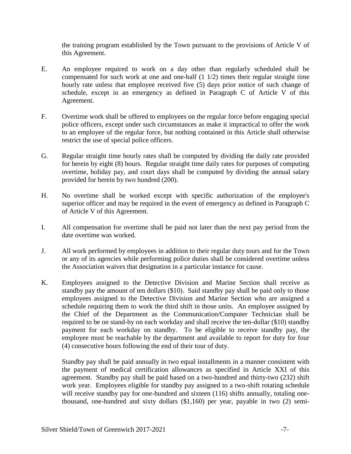the training program established by the Town pursuant to the provisions of Article V of this Agreement.

- E. An employee required to work on a day other than regularly scheduled shall be compensated for such work at one and one-half (1 1/2) times their regular straight time hourly rate unless that employee received five (5) days prior notice of such change of schedule, except in an emergency as defined in Paragraph C of Article V of this Agreement.
- F. Overtime work shall be offered to employees on the regular force before engaging special police officers, except under such circumstances as make it impractical to offer the work to an employee of the regular force, but nothing contained in this Article shall otherwise restrict the use of special police officers.
- G. Regular straight time hourly rates shall be computed by dividing the daily rate provided for herein by eight (8) hours. Regular straight time daily rates for purposes of computing overtime, holiday pay, and court days shall be computed by dividing the annual salary provided for herein by two hundred (200).
- H. No overtime shall be worked except with specific authorization of the employee's superior officer and may be required in the event of emergency as defined in Paragraph C of Article V of this Agreement.
- I. All compensation for overtime shall be paid not later than the next pay period from the date overtime was worked.
- J. All work performed by employees in addition to their regular duty tours and for the Town or any of its agencies while performing police duties shall be considered overtime unless the Association waives that designation in a particular instance for cause.
- K. Employees assigned to the Detective Division and Marine Section shall receive as standby pay the amount of ten dollars (\$10). Said standby pay shall be paid only to those employees assigned to the Detective Division and Marine Section who are assigned a schedule requiring them to work the third shift in those units. An employee assigned by the Chief of the Department as the Communication/Computer Technician shall be required to be on stand-by on each workday and shall receive the ten-dollar (\$10) standby payment for each workday on standby. To be eligible to receive standby pay, the employee must be reachable by the department and available to report for duty for four (4) consecutive hours following the end of their tour of duty.

Standby pay shall be paid annually in two equal installments in a manner consistent with the payment of medical certification allowances as specified in Article XXI of this agreement. Standby pay shall be paid based on a two-hundred and thirty-two (232) shift work year. Employees eligible for standby pay assigned to a two-shift rotating schedule will receive standby pay for one-hundred and sixteen (116) shifts annually, totaling onethousand, one-hundred and sixty dollars (\$1,160) per year, payable in two (2) semi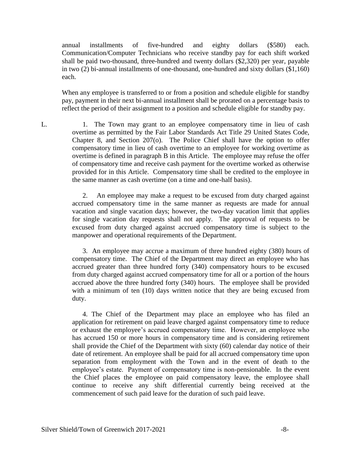annual installments of five-hundred and eighty dollars (\$580) each. Communication/Computer Technicians who receive standby pay for each shift worked shall be paid two-thousand, three-hundred and twenty dollars (\$2,320) per year, payable in two (2) bi-annual installments of one-thousand, one-hundred and sixty dollars (\$1,160) each.

When any employee is transferred to or from a position and schedule eligible for standby pay, payment in their next bi-annual installment shall be prorated on a percentage basis to reflect the period of their assignment to a position and schedule eligible for standby pay.

L. 1. The Town may grant to an employee compensatory time in lieu of cash overtime as permitted by the Fair Labor Standards Act Title 29 United States Code, Chapter 8, and Section 207(o). The Police Chief shall have the option to offer compensatory time in lieu of cash overtime to an employee for working overtime as overtime is defined in paragraph B in this Article. The employee may refuse the offer of compensatory time and receive cash payment for the overtime worked as otherwise provided for in this Article. Compensatory time shall be credited to the employee in the same manner as cash overtime (on a time and one-half basis).

> 2. An employee may make a request to be excused from duty charged against accrued compensatory time in the same manner as requests are made for annual vacation and single vacation days; however, the two-day vacation limit that applies for single vacation day requests shall not apply. The approval of requests to be excused from duty charged against accrued compensatory time is subject to the manpower and operational requirements of the Department.

> 3. An employee may accrue a maximum of three hundred eighty (380) hours of compensatory time. The Chief of the Department may direct an employee who has accrued greater than three hundred forty (340) compensatory hours to be excused from duty charged against accrued compensatory time for all or a portion of the hours accrued above the three hundred forty (340) hours. The employee shall be provided with a minimum of ten (10) days written notice that they are being excused from duty.

> 4. The Chief of the Department may place an employee who has filed an application for retirement on paid leave charged against compensatory time to reduce or exhaust the employee's accrued compensatory time. However, an employee who has accrued 150 or more hours in compensatory time and is considering retirement shall provide the Chief of the Department with sixty (60) calendar day notice of their date of retirement. An employee shall be paid for all accrued compensatory time upon separation from employment with the Town and in the event of death to the employee's estate. Payment of compensatory time is non-pensionable. In the event the Chief places the employee on paid compensatory leave, the employee shall continue to receive any shift differential currently being received at the commencement of such paid leave for the duration of such paid leave.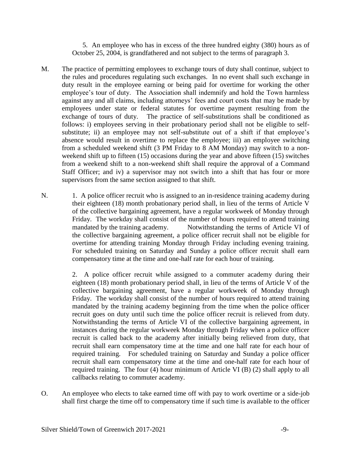5. An employee who has in excess of the three hundred eighty (380) hours as of October 25, 2004, is grandfathered and not subject to the terms of paragraph 3.

- M. The practice of permitting employees to exchange tours of duty shall continue, subject to the rules and procedures regulating such exchanges. In no event shall such exchange in duty result in the employee earning or being paid for overtime for working the other employee's tour of duty. The Association shall indemnify and hold the Town harmless against any and all claims, including attorneys' fees and court costs that may be made by employees under state or federal statutes for overtime payment resulting from the exchange of tours of duty. The practice of self-substitutions shall be conditioned as follows: i) employees serving in their probationary period shall not be eligible to selfsubstitute; ii) an employee may not self-substitute out of a shift if that employee's absence would result in overtime to replace the employee; iii) an employee switching from a scheduled weekend shift (3 PM Friday to 8 AM Monday) may switch to a nonweekend shift up to fifteen (15) occasions during the year and above fifteen (15) switches from a weekend shift to a non-weekend shift shall require the approval of a Command Staff Officer; and iv) a supervisor may not switch into a shift that has four or more supervisors from the same section assigned to that shift.
- N. 1. A police officer recruit who is assigned to an in-residence training academy during their eighteen (18) month probationary period shall, in lieu of the terms of Article V of the collective bargaining agreement, have a regular workweek of Monday through Friday. The workday shall consist of the number of hours required to attend training mandated by the training academy. Notwithstanding the terms of Article VI of the collective bargaining agreement, a police officer recruit shall not be eligible for overtime for attending training Monday through Friday including evening training. For scheduled training on Saturday and Sunday a police officer recruit shall earn compensatory time at the time and one-half rate for each hour of training.

2. A police officer recruit while assigned to a commuter academy during their eighteen (18) month probationary period shall, in lieu of the terms of Article V of the collective bargaining agreement, have a regular workweek of Monday through Friday. The workday shall consist of the number of hours required to attend training mandated by the training academy beginning from the time when the police officer recruit goes on duty until such time the police officer recruit is relieved from duty. Notwithstanding the terms of Article VI of the collective bargaining agreement, in instances during the regular workweek Monday through Friday when a police officer recruit is called back to the academy after initially being relieved from duty, that recruit shall earn compensatory time at the time and one half rate for each hour of required training. For scheduled training on Saturday and Sunday a police officer recruit shall earn compensatory time at the time and one-half rate for each hour of required training. The four (4) hour minimum of Article VI (B) (2) shall apply to all callbacks relating to commuter academy.

O. An employee who elects to take earned time off with pay to work overtime or a side-job shall first charge the time off to compensatory time if such time is available to the officer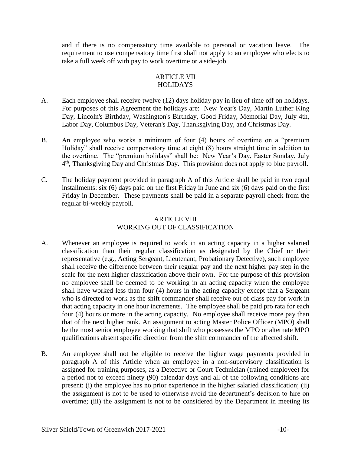and if there is no compensatory time available to personal or vacation leave. The requirement to use compensatory time first shall not apply to an employee who elects to take a full week off with pay to work overtime or a side-job.

# ARTICLE VII **HOLIDAYS**

- A. Each employee shall receive twelve (12) days holiday pay in lieu of time off on holidays. For purposes of this Agreement the holidays are: New Year's Day, Martin Luther King Day, Lincoln's Birthday, Washington's Birthday, Good Friday, Memorial Day, July 4th, Labor Day, Columbus Day, Veteran's Day, Thanksgiving Day, and Christmas Day.
- B. An employee who works a minimum of four (4) hours of overtime on a "premium Holiday" shall receive compensatory time at eight (8) hours straight time in addition to the overtime. The "premium holidays" shall be: New Year's Day, Easter Sunday, July 4<sup>th</sup>, Thanksgiving Day and Christmas Day. This provision does not apply to blue payroll.
- C. The holiday payment provided in paragraph A of this Article shall be paid in two equal installments: six (6) days paid on the first Friday in June and six (6) days paid on the first Friday in December. These payments shall be paid in a separate payroll check from the regular bi-weekly payroll.

# ARTICLE VIII WORKING OUT OF CLASSIFICATION

- A. Whenever an employee is required to work in an acting capacity in a higher salaried classification than their regular classification as designated by the Chief or their representative (e.g., Acting Sergeant, Lieutenant, Probationary Detective), such employee shall receive the difference between their regular pay and the next higher pay step in the scale for the next higher classification above their own. For the purpose of this provision no employee shall be deemed to be working in an acting capacity when the employee shall have worked less than four (4) hours in the acting capacity except that a Sergeant who is directed to work as the shift commander shall receive out of class pay for work in that acting capacity in one hour increments. The employee shall be paid pro rata for each four (4) hours or more in the acting capacity. No employee shall receive more pay than that of the next higher rank. An assignment to acting Master Police Officer (MPO) shall be the most senior employee working that shift who possesses the MPO or alternate MPO qualifications absent specific direction from the shift commander of the affected shift.
- B. An employee shall not be eligible to receive the higher wage payments provided in paragraph A of this Article when an employee in a non-supervisory classification is assigned for training purposes, as a Detective or Court Technician (trained employee) for a period not to exceed ninety (90) calendar days and all of the following conditions are present: (i) the employee has no prior experience in the higher salaried classification; (ii) the assignment is not to be used to otherwise avoid the department's decision to hire on overtime; (iii) the assignment is not to be considered by the Department in meeting its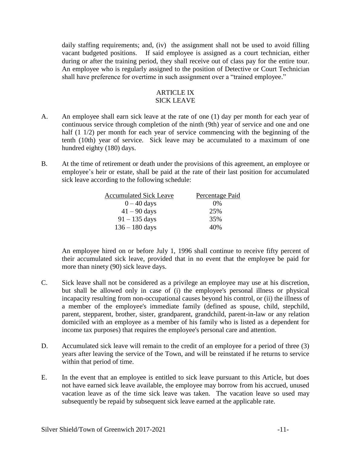daily staffing requirements; and, (iv) the assignment shall not be used to avoid filling vacant budgeted positions. If said employee is assigned as a court technician, either during or after the training period, they shall receive out of class pay for the entire tour. An employee who is regularly assigned to the position of Detective or Court Technician shall have preference for overtime in such assignment over a "trained employee."

# ARTICLE IX SICK LEAVE

- A. An employee shall earn sick leave at the rate of one (1) day per month for each year of continuous service through completion of the ninth (9th) year of service and one and one half (1 1/2) per month for each year of service commencing with the beginning of the tenth (10th) year of service. Sick leave may be accumulated to a maximum of one hundred eighty (180) days.
- B. At the time of retirement or death under the provisions of this agreement, an employee or employee's heir or estate, shall be paid at the rate of their last position for accumulated sick leave according to the following schedule:

| <b>Accumulated Sick Leave</b> | Percentage Paid |
|-------------------------------|-----------------|
| $0 - 40$ days                 | $0\%$           |
| $41 - 90$ days                | 25%             |
| $91 - 135$ days               | 35%             |
| $136 - 180$ days              | 40%             |

An employee hired on or before July 1, 1996 shall continue to receive fifty percent of their accumulated sick leave, provided that in no event that the employee be paid for more than ninety (90) sick leave days.

- C. Sick leave shall not be considered as a privilege an employee may use at his discretion, but shall be allowed only in case of (i) the employee's personal illness or physical incapacity resulting from non-occupational causes beyond his control, or (ii) the illness of a member of the employee's immediate family (defined as spouse, child, stepchild, parent, stepparent, brother, sister, grandparent, grandchild, parent-in-law or any relation domiciled with an employee as a member of his family who is listed as a dependent for income tax purposes) that requires the employee's personal care and attention.
- D. Accumulated sick leave will remain to the credit of an employee for a period of three (3) years after leaving the service of the Town, and will be reinstated if he returns to service within that period of time.
- E. In the event that an employee is entitled to sick leave pursuant to this Article, but does not have earned sick leave available, the employee may borrow from his accrued, unused vacation leave as of the time sick leave was taken. The vacation leave so used may subsequently be repaid by subsequent sick leave earned at the applicable rate.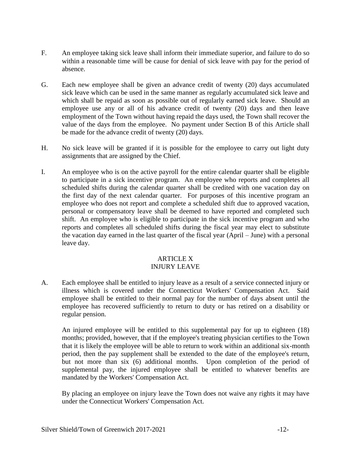- F. An employee taking sick leave shall inform their immediate superior, and failure to do so within a reasonable time will be cause for denial of sick leave with pay for the period of absence.
- G. Each new employee shall be given an advance credit of twenty (20) days accumulated sick leave which can be used in the same manner as regularly accumulated sick leave and which shall be repaid as soon as possible out of regularly earned sick leave. Should an employee use any or all of his advance credit of twenty (20) days and then leave employment of the Town without having repaid the days used, the Town shall recover the value of the days from the employee. No payment under Section B of this Article shall be made for the advance credit of twenty (20) days.
- H. No sick leave will be granted if it is possible for the employee to carry out light duty assignments that are assigned by the Chief.
- I. An employee who is on the active payroll for the entire calendar quarter shall be eligible to participate in a sick incentive program. An employee who reports and completes all scheduled shifts during the calendar quarter shall be credited with one vacation day on the first day of the next calendar quarter. For purposes of this incentive program an employee who does not report and complete a scheduled shift due to approved vacation, personal or compensatory leave shall be deemed to have reported and completed such shift. An employee who is eligible to participate in the sick incentive program and who reports and completes all scheduled shifts during the fiscal year may elect to substitute the vacation day earned in the last quarter of the fiscal year (April – June) with a personal leave day.

#### ARTICLE X INJURY LEAVE

A. Each employee shall be entitled to injury leave as a result of a service connected injury or illness which is covered under the Connecticut Workers' Compensation Act. Said employee shall be entitled to their normal pay for the number of days absent until the employee has recovered sufficiently to return to duty or has retired on a disability or regular pension.

An injured employee will be entitled to this supplemental pay for up to eighteen (18) months; provided, however, that if the employee's treating physician certifies to the Town that it is likely the employee will be able to return to work within an additional six-month period, then the pay supplement shall be extended to the date of the employee's return, but not more than six (6) additional months. Upon completion of the period of supplemental pay, the injured employee shall be entitled to whatever benefits are mandated by the Workers' Compensation Act.

By placing an employee on injury leave the Town does not waive any rights it may have under the Connecticut Workers' Compensation Act.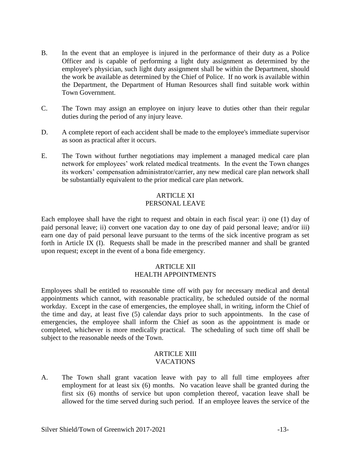- B. In the event that an employee is injured in the performance of their duty as a Police Officer and is capable of performing a light duty assignment as determined by the employee's physician, such light duty assignment shall be within the Department, should the work be available as determined by the Chief of Police. If no work is available within the Department, the Department of Human Resources shall find suitable work within Town Government.
- C. The Town may assign an employee on injury leave to duties other than their regular duties during the period of any injury leave.
- D. A complete report of each accident shall be made to the employee's immediate supervisor as soon as practical after it occurs.
- E. The Town without further negotiations may implement a managed medical care plan network for employees' work related medical treatments. In the event the Town changes its workers' compensation administrator/carrier, any new medical care plan network shall be substantially equivalent to the prior medical care plan network.

# ARTICLE XI PERSONAL LEAVE

Each employee shall have the right to request and obtain in each fiscal year: i) one (1) day of paid personal leave; ii) convert one vacation day to one day of paid personal leave; and/or iii) earn one day of paid personal leave pursuant to the terms of the sick incentive program as set forth in Article IX (I). Requests shall be made in the prescribed manner and shall be granted upon request; except in the event of a bona fide emergency.

#### ARTICLE XII HEALTH APPOINTMENTS

Employees shall be entitled to reasonable time off with pay for necessary medical and dental appointments which cannot, with reasonable practicality, be scheduled outside of the normal workday. Except in the case of emergencies, the employee shall, in writing, inform the Chief of the time and day, at least five (5) calendar days prior to such appointments. In the case of emergencies, the employee shall inform the Chief as soon as the appointment is made or completed, whichever is more medically practical. The scheduling of such time off shall be subject to the reasonable needs of the Town.

#### ARTICLE XIII VACATIONS

A. The Town shall grant vacation leave with pay to all full time employees after employment for at least six (6) months. No vacation leave shall be granted during the first six (6) months of service but upon completion thereof, vacation leave shall be allowed for the time served during such period. If an employee leaves the service of the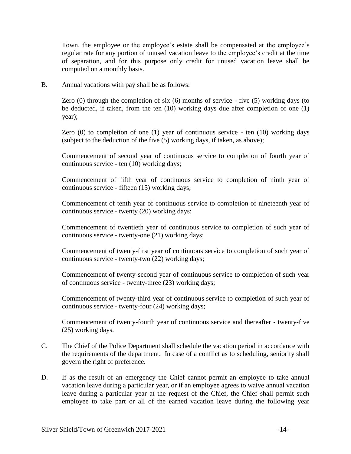Town, the employee or the employee's estate shall be compensated at the employee's regular rate for any portion of unused vacation leave to the employee's credit at the time of separation, and for this purpose only credit for unused vacation leave shall be computed on a monthly basis.

B. Annual vacations with pay shall be as follows:

Zero (0) through the completion of six (6) months of service - five (5) working days (to be deducted, if taken, from the ten (10) working days due after completion of one (1) year);

Zero (0) to completion of one (1) year of continuous service - ten (10) working days (subject to the deduction of the five (5) working days, if taken, as above);

Commencement of second year of continuous service to completion of fourth year of continuous service - ten (10) working days;

Commencement of fifth year of continuous service to completion of ninth year of continuous service - fifteen (15) working days;

Commencement of tenth year of continuous service to completion of nineteenth year of continuous service - twenty (20) working days;

Commencement of twentieth year of continuous service to completion of such year of continuous service - twenty-one (21) working days;

Commencement of twenty-first year of continuous service to completion of such year of continuous service - twenty-two (22) working days;

Commencement of twenty-second year of continuous service to completion of such year of continuous service - twenty-three (23) working days;

Commencement of twenty-third year of continuous service to completion of such year of continuous service - twenty-four (24) working days;

Commencement of twenty-fourth year of continuous service and thereafter - twenty-five (25) working days.

- C. The Chief of the Police Department shall schedule the vacation period in accordance with the requirements of the department. In case of a conflict as to scheduling, seniority shall govern the right of preference.
- D. If as the result of an emergency the Chief cannot permit an employee to take annual vacation leave during a particular year, or if an employee agrees to waive annual vacation leave during a particular year at the request of the Chief, the Chief shall permit such employee to take part or all of the earned vacation leave during the following year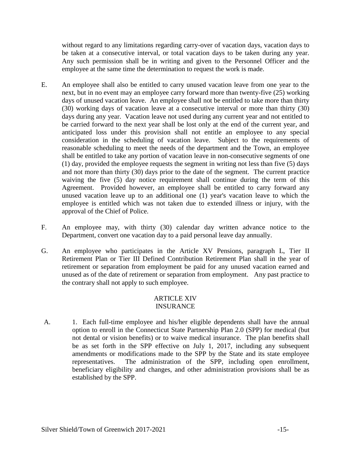without regard to any limitations regarding carry-over of vacation days, vacation days to be taken at a consecutive interval, or total vacation days to be taken during any year. Any such permission shall be in writing and given to the Personnel Officer and the employee at the same time the determination to request the work is made.

- E. An employee shall also be entitled to carry unused vacation leave from one year to the next, but in no event may an employee carry forward more than twenty-five (25) working days of unused vacation leave. An employee shall not be entitled to take more than thirty (30) working days of vacation leave at a consecutive interval or more than thirty (30) days during any year. Vacation leave not used during any current year and not entitled to be carried forward to the next year shall be lost only at the end of the current year, and anticipated loss under this provision shall not entitle an employee to any special consideration in the scheduling of vacation leave. Subject to the requirements of reasonable scheduling to meet the needs of the department and the Town, an employee shall be entitled to take any portion of vacation leave in non-consecutive segments of one (1) day, provided the employee requests the segment in writing not less than five (5) days and not more than thirty (30) days prior to the date of the segment. The current practice waiving the five (5) day notice requirement shall continue during the term of this Agreement. Provided however, an employee shall be entitled to carry forward any unused vacation leave up to an additional one (1) year's vacation leave to which the employee is entitled which was not taken due to extended illness or injury, with the approval of the Chief of Police.
- F. An employee may, with thirty (30) calendar day written advance notice to the Department, convert one vacation day to a paid personal leave day annually.
- G. An employee who participates in the Article XV Pensions, paragraph L, Tier II Retirement Plan or Tier III Defined Contribution Retirement Plan shall in the year of retirement or separation from employment be paid for any unused vacation earned and unused as of the date of retirement or separation from employment. Any past practice to the contrary shall not apply to such employee.

# **ARTICLE XIV** INSURANCE

A. 1. Each full-time employee and his/her eligible dependents shall have the annual option to enroll in the Connecticut State Partnership Plan 2.0 (SPP) for medical (but not dental or vision benefits) or to waive medical insurance. The plan benefits shall be as set forth in the SPP effective on July 1, 2017, including any subsequent amendments or modifications made to the SPP by the State and its state employee representatives. The administration of the SPP, including open enrollment, beneficiary eligibility and changes, and other administration provisions shall be as established by the SPP.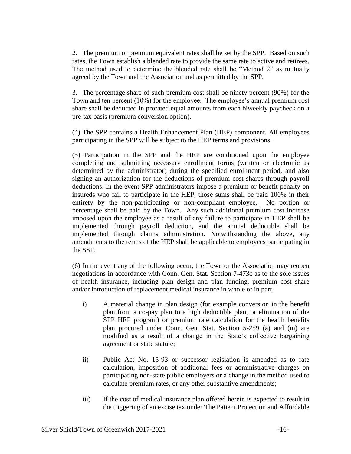2. The premium or premium equivalent rates shall be set by the SPP. Based on such rates, the Town establish a blended rate to provide the same rate to active and retirees. The method used to determine the blended rate shall be "Method 2" as mutually agreed by the Town and the Association and as permitted by the SPP.

3. The percentage share of such premium cost shall be ninety percent (90%) for the Town and ten percent (10%) for the employee. The employee's annual premium cost share shall be deducted in prorated equal amounts from each biweekly paycheck on a pre-tax basis (premium conversion option).

(4) The SPP contains a Health Enhancement Plan (HEP) component. All employees participating in the SPP will be subject to the HEP terms and provisions.

(5) Participation in the SPP and the HEP are conditioned upon the employee completing and submitting necessary enrollment forms (written or electronic as determined by the administrator) during the specified enrollment period, and also signing an authorization for the deductions of premium cost shares through payroll deductions. In the event SPP administrators impose a premium or benefit penalty on insureds who fail to participate in the HEP, those sums shall be paid 100% in their entirety by the non-participating or non-compliant employee. No portion or percentage shall be paid by the Town. Any such additional premium cost increase imposed upon the employee as a result of any failure to participate in HEP shall be implemented through payroll deduction, and the annual deductible shall be implemented through claims administration. Notwithstanding the above, any amendments to the terms of the HEP shall be applicable to employees participating in the SSP.

(6) In the event any of the following occur, the Town or the Association may reopen negotiations in accordance with Conn. Gen. Stat. Section 7-473c as to the sole issues of health insurance, including plan design and plan funding, premium cost share and/or introduction of replacement medical insurance in whole or in part.

- i) A material change in plan design (for example conversion in the benefit plan from a co-pay plan to a high deductible plan, or elimination of the SPP HEP program) or premium rate calculation for the health benefits plan procured under Conn. Gen. Stat. Section 5-259 (a) and (m) are modified as a result of a change in the State's collective bargaining agreement or state statute;
- ii) Public Act No. 15-93 or successor legislation is amended as to rate calculation, imposition of additional fees or administrative charges on participating non-state public employers or a change in the method used to calculate premium rates, or any other substantive amendments;
- iii) If the cost of medical insurance plan offered herein is expected to result in the triggering of an excise tax under The Patient Protection and Affordable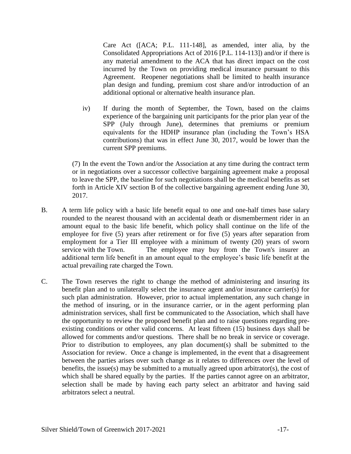Care Act ([ACA; P.L. 111-148], as amended, inter alia, by the Consolidated Appropriations Act of 2016 [P.L. 114-113]) and/or if there is any material amendment to the ACA that has direct impact on the cost incurred by the Town on providing medical insurance pursuant to this Agreement. Reopener negotiations shall be limited to health insurance plan design and funding, premium cost share and/or introduction of an additional optional or alternative health insurance plan.

iv) If during the month of September, the Town, based on the claims experience of the bargaining unit participants for the prior plan year of the SPP (July through June), determines that premiums or premium equivalents for the HDHP insurance plan (including the Town's HSA contributions) that was in effect June 30, 2017, would be lower than the current SPP premiums.

(7) In the event the Town and/or the Association at any time during the contract term or in negotiations over a successor collective bargaining agreement make a proposal to leave the SPP, the baseline for such negotiations shall be the medical benefits as set forth in Article XIV section B of the collective bargaining agreement ending June 30, 2017.

- B. A term life policy with a basic life benefit equal to one and one-half times base salary rounded to the nearest thousand with an accidental death or dismemberment rider in an amount equal to the basic life benefit, which policy shall continue on the life of the employee for five (5) years after retirement or for five (5) years after separation from employment for a Tier III employee with a minimum of twenty (20) years of sworn service with the Town. The employee may buy from the Town's insurer an additional term life benefit in an amount equal to the employee's basic life benefit at the actual prevailing rate charged the Town.
- C. The Town reserves the right to change the method of administering and insuring its benefit plan and to unilaterally select the insurance agent and/or insurance carrier(s) for such plan administration. However, prior to actual implementation, any such change in the method of insuring, or in the insurance carrier, or in the agent performing plan administration services, shall first be communicated to the Association, which shall have the opportunity to review the proposed benefit plan and to raise questions regarding preexisting conditions or other valid concerns. At least fifteen (15) business days shall be allowed for comments and/or questions. There shall be no break in service or coverage. Prior to distribution to employees, any plan document(s) shall be submitted to the Association for review. Once a change is implemented, in the event that a disagreement between the parties arises over such change as it relates to differences over the level of benefits, the issue(s) may be submitted to a mutually agreed upon arbitrator(s), the cost of which shall be shared equally by the parties. If the parties cannot agree on an arbitrator, selection shall be made by having each party select an arbitrator and having said arbitrators select a neutral.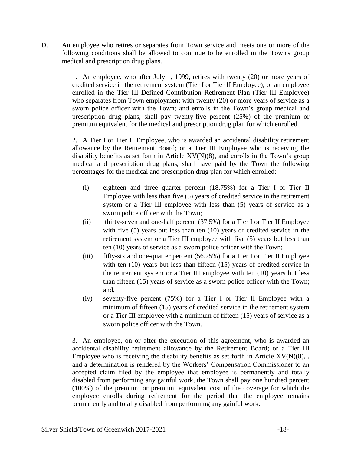D. An employee who retires or separates from Town service and meets one or more of the following conditions shall be allowed to continue to be enrolled in the Town's group medical and prescription drug plans.

> 1. An employee, who after July 1, 1999, retires with twenty (20) or more years of credited service in the retirement system (Tier I or Tier II Employee); or an employee enrolled in the Tier III Defined Contribution Retirement Plan (Tier III Employee) who separates from Town employment with twenty (20) or more years of service as a sworn police officer with the Town; and enrolls in the Town's group medical and prescription drug plans, shall pay twenty-five percent (25%) of the premium or premium equivalent for the medical and prescription drug plan for which enrolled.

> 2. A Tier I or Tier II Employee, who is awarded an accidental disability retirement allowance by the Retirement Board; or a Tier III Employee who is receiving the disability benefits as set forth in Article  $XV(N)(8)$ , and enrolls in the Town's group medical and prescription drug plans, shall have paid by the Town the following percentages for the medical and prescription drug plan for which enrolled:

- (i) eighteen and three quarter percent (18.75%) for a Tier I or Tier II Employee with less than five (5) years of credited service in the retirement system or a Tier III employee with less than (5) years of service as a sworn police officer with the Town;
- (ii) thirty-seven and one-half percent (37.5%) for a Tier I or Tier II Employee with five (5) years but less than ten (10) years of credited service in the retirement system or a Tier III employee with five (5) years but less than ten (10) years of service as a sworn police officer with the Town;
- (iii) fifty-six and one-quarter percent (56.25%) for a Tier I or Tier II Employee with ten (10) years but less than fifteen (15) years of credited service in the retirement system or a Tier III employee with ten (10) years but less than fifteen (15) years of service as a sworn police officer with the Town; and,
- (iv) seventy-five percent (75%) for a Tier I or Tier II Employee with a minimum of fifteen (15) years of credited service in the retirement system or a Tier III employee with a minimum of fifteen (15) years of service as a sworn police officer with the Town.

3. An employee, on or after the execution of this agreement, who is awarded an accidental disability retirement allowance by the Retirement Board; or a Tier III Employee who is receiving the disability benefits as set forth in Article  $XV(N)(8)$ , and a determination is rendered by the Workers' Compensation Commissioner to an accepted claim filed by the employee that employee is permanently and totally disabled from performing any gainful work, the Town shall pay one hundred percent (100%) of the premium or premium equivalent cost of the coverage for which the employee enrolls during retirement for the period that the employee remains permanently and totally disabled from performing any gainful work.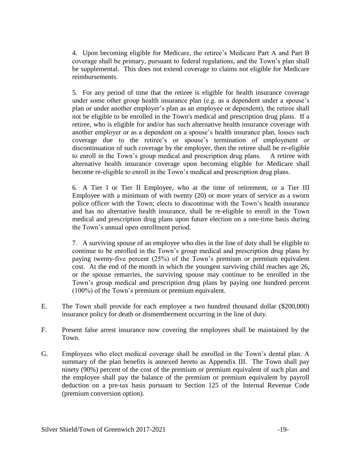4. Upon becoming eligible for Medicare, the retiree's Medicare Part A and Part B coverage shall be primary, pursuant to federal regulations, and the Town's plan shall be supplemental. This does not extend coverage to claims not eligible for Medicare reimbursements.

5. For any period of time that the retiree is eligible for health insurance coverage under some other group health insurance plan (e.g. as a dependent under a spouse's plan or under another employer's plan as an employee or dependent), the retiree shall not be eligible to be enrolled in the Town's medical and prescription drug plans. If a retiree, who is eligible for and/or has such alternative health insurance coverage with another employer or as a dependent on a spouse's health insurance plan, losses such coverage due to the retiree's or spouse's termination of employment or discontinuation of such coverage by the employer, then the retiree shall be re-eligible to enroll in the Town's group medical and prescription drug plans. A retiree with alternative health insurance coverage upon becoming eligible for Medicare shall become re-eligible to enroll in the Town's medical and prescription drug plans.

6. A Tier I or Tier II Employee, who at the time of retirement, or a Tier III Employee with a minimum of with twenty (20) or more years of service as a sworn police officer with the Town; elects to discontinue with the Town's health insurance and has no alternative health insurance, shall be re-eligible to enroll in the Town medical and prescription drug plans upon future election on a one-time basis during the Town's annual open enrollment period.

7. A surviving spouse of an employee who dies in the line of duty shall be eligible to continue to be enrolled in the Town's group medical and prescription drug plans by paying twenty-five percent (25%) of the Town's premium or premium equivalent cost. At the end of the month in which the youngest surviving child reaches age 26, or the spouse remarries, the surviving spouse may continue to be enrolled in the Town's group medical and prescription drug plans by paying one hundred percent (100%) of the Town's premium or premium equivalent.

- E. The Town shall provide for each employee a two hundred thousand dollar (\$200,000) insurance policy for death or dismemberment occurring in the line of duty.
- F. Present false arrest insurance now covering the employees shall be maintained by the Town.
- G. Employees who elect medical coverage shall be enrolled in the Town's dental plan. A summary of the plan benefits is annexed hereto as Appendix III. The Town shall pay ninety (90%) percent of the cost of the premium or premium equivalent of such plan and the employee shall pay the balance of the premium or premium equivalent by payroll deduction on a pre-tax basis pursuant to Section 125 of the Internal Revenue Code (premium conversion option).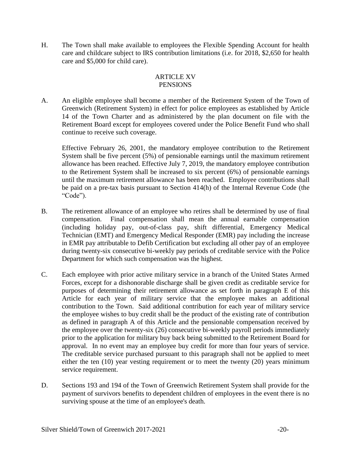H. The Town shall make available to employees the Flexible Spending Account for health care and childcare subject to IRS contribution limitations (i.e. for 2018, \$2,650 for health care and \$5,000 for child care).

#### ARTICLE XV **PENSIONS**

A. An eligible employee shall become a member of the Retirement System of the Town of Greenwich (Retirement System) in effect for police employees as established by Article 14 of the Town Charter and as administered by the plan document on file with the Retirement Board except for employees covered under the Police Benefit Fund who shall continue to receive such coverage.

Effective February 26, 2001, the mandatory employee contribution to the Retirement System shall be five percent (5%) of pensionable earnings until the maximum retirement allowance has been reached. Effective July 7, 2019, the mandatory employee contribution to the Retirement System shall be increased to six percent (6%) of pensionable earnings until the maximum retirement allowance has been reached. Employee contributions shall be paid on a pre-tax basis pursuant to Section 414(h) of the Internal Revenue Code (the "Code").

- B. The retirement allowance of an employee who retires shall be determined by use of final compensation. Final compensation shall mean the annual earnable compensation (including holiday pay, out-of-class pay, shift differential, Emergency Medical Technician (EMT) and Emergency Medical Responder (EMR) pay including the increase in EMR pay attributable to Defib Certification but excluding all other pay of an employee during twenty-six consecutive bi-weekly pay periods of creditable service with the Police Department for which such compensation was the highest.
- C. Each employee with prior active military service in a branch of the United States Armed Forces, except for a dishonorable discharge shall be given credit as creditable service for purposes of determining their retirement allowance as set forth in paragraph E of this Article for each year of military service that the employee makes an additional contribution to the Town. Said additional contribution for each year of military service the employee wishes to buy credit shall be the product of the existing rate of contribution as defined in paragraph A of this Article and the pensionable compensation received by the employee over the twenty-six (26) consecutive bi-weekly payroll periods immediately prior to the application for military buy back being submitted to the Retirement Board for approval. In no event may an employee buy credit for more than four years of service. The creditable service purchased pursuant to this paragraph shall not be applied to meet either the ten (10) year vesting requirement or to meet the twenty (20) years minimum service requirement.
- D. Sections 193 and 194 of the Town of Greenwich Retirement System shall provide for the payment of survivors benefits to dependent children of employees in the event there is no surviving spouse at the time of an employee's death.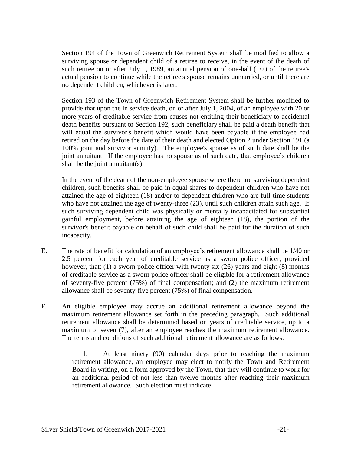Section 194 of the Town of Greenwich Retirement System shall be modified to allow a surviving spouse or dependent child of a retiree to receive, in the event of the death of such retiree on or after July 1, 1989, an annual pension of one-half (1/2) of the retiree's actual pension to continue while the retiree's spouse remains unmarried, or until there are no dependent children, whichever is later.

Section 193 of the Town of Greenwich Retirement System shall be further modified to provide that upon the in service death, on or after July 1, 2004, of an employee with 20 or more years of creditable service from causes not entitling their beneficiary to accidental death benefits pursuant to Section 192, such beneficiary shall be paid a death benefit that will equal the survivor's benefit which would have been payable if the employee had retired on the day before the date of their death and elected Option 2 under Section 191 (a 100% joint and survivor annuity). The employee's spouse as of such date shall be the joint annuitant. If the employee has no spouse as of such date, that employee's children shall be the joint annuitant(s).

In the event of the death of the non-employee spouse where there are surviving dependent children, such benefits shall be paid in equal shares to dependent children who have not attained the age of eighteen (18) and/or to dependent children who are full-time students who have not attained the age of twenty-three (23), until such children attain such age. If such surviving dependent child was physically or mentally incapacitated for substantial gainful employment, before attaining the age of eighteen (18), the portion of the survivor's benefit payable on behalf of such child shall be paid for the duration of such incapacity.

- E. The rate of benefit for calculation of an employee's retirement allowance shall be 1/40 or 2.5 percent for each year of creditable service as a sworn police officer, provided however, that: (1) a sworn police officer with twenty six (26) years and eight (8) months of creditable service as a sworn police officer shall be eligible for a retirement allowance of seventy-five percent (75%) of final compensation; and (2) the maximum retirement allowance shall be seventy-five percent (75%) of final compensation.
- F. An eligible employee may accrue an additional retirement allowance beyond the maximum retirement allowance set forth in the preceding paragraph. Such additional retirement allowance shall be determined based on years of creditable service, up to a maximum of seven (7), after an employee reaches the maximum retirement allowance. The terms and conditions of such additional retirement allowance are as follows:

1. At least ninety (90) calendar days prior to reaching the maximum retirement allowance, an employee may elect to notify the Town and Retirement Board in writing, on a form approved by the Town, that they will continue to work for an additional period of not less than twelve months after reaching their maximum retirement allowance. Such election must indicate: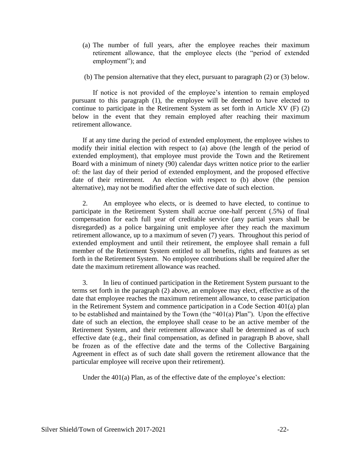- (a) The number of full years, after the employee reaches their maximum retirement allowance, that the employee elects (the "period of extended employment"); and
- (b) The pension alternative that they elect, pursuant to paragraph (2) or (3) below.

If notice is not provided of the employee's intention to remain employed pursuant to this paragraph (1), the employee will be deemed to have elected to continue to participate in the Retirement System as set forth in Article XV (F) (2) below in the event that they remain employed after reaching their maximum retirement allowance.

If at any time during the period of extended employment, the employee wishes to modify their initial election with respect to (a) above (the length of the period of extended employment), that employee must provide the Town and the Retirement Board with a minimum of ninety (90) calendar days written notice prior to the earlier of: the last day of their period of extended employment, and the proposed effective date of their retirement. An election with respect to (b) above (the pension alternative), may not be modified after the effective date of such election.

2. An employee who elects, or is deemed to have elected, to continue to participate in the Retirement System shall accrue one-half percent (.5%) of final compensation for each full year of creditable service (any partial years shall be disregarded) as a police bargaining unit employee after they reach the maximum retirement allowance, up to a maximum of seven (7) years. Throughout this period of extended employment and until their retirement, the employee shall remain a full member of the Retirement System entitled to all benefits, rights and features as set forth in the Retirement System. No employee contributions shall be required after the date the maximum retirement allowance was reached.

3. In lieu of continued participation in the Retirement System pursuant to the terms set forth in the paragraph (2) above, an employee may elect, effective as of the date that employee reaches the maximum retirement allowance, to cease participation in the Retirement System and commence participation in a Code Section 401(a) plan to be established and maintained by the Town (the "401(a) Plan"). Upon the effective date of such an election, the employee shall cease to be an active member of the Retirement System, and their retirement allowance shall be determined as of such effective date (e.g., their final compensation, as defined in paragraph B above, shall be frozen as of the effective date and the terms of the Collective Bargaining Agreement in effect as of such date shall govern the retirement allowance that the particular employee will receive upon their retirement).

Under the 401(a) Plan, as of the effective date of the employee's election: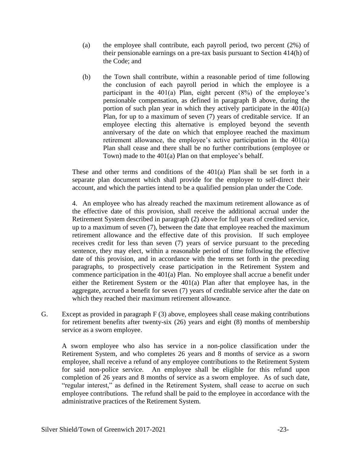- (a) the employee shall contribute, each payroll period, two percent (2%) of their pensionable earnings on a pre-tax basis pursuant to Section 414(h) of the Code; and
- (b) the Town shall contribute, within a reasonable period of time following the conclusion of each payroll period in which the employee is a participant in the 401(a) Plan, eight percent (8%) of the employee's pensionable compensation, as defined in paragraph B above, during the portion of such plan year in which they actively participate in the 401(a) Plan, for up to a maximum of seven (7) years of creditable service. If an employee electing this alternative is employed beyond the seventh anniversary of the date on which that employee reached the maximum retirement allowance, the employee's active participation in the 401(a) Plan shall cease and there shall be no further contributions (employee or Town) made to the 401(a) Plan on that employee's behalf.

These and other terms and conditions of the 401(a) Plan shall be set forth in a separate plan document which shall provide for the employee to self-direct their account, and which the parties intend to be a qualified pension plan under the Code.

4. An employee who has already reached the maximum retirement allowance as of the effective date of this provision, shall receive the additional accrual under the Retirement System described in paragraph (2) above for full years of credited service, up to a maximum of seven (7), between the date that employee reached the maximum retirement allowance and the effective date of this provision. If such employee receives credit for less than seven (7) years of service pursuant to the preceding sentence, they may elect, within a reasonable period of time following the effective date of this provision, and in accordance with the terms set forth in the preceding paragraphs, to prospectively cease participation in the Retirement System and commence participation in the 401(a) Plan. No employee shall accrue a benefit under either the Retirement System or the 401(a) Plan after that employee has, in the aggregate, accrued a benefit for seven (7) years of creditable service after the date on which they reached their maximum retirement allowance.

G. Except as provided in paragraph F (3) above, employees shall cease making contributions for retirement benefits after twenty-six (26) years and eight (8) months of membership service as a sworn employee.

A sworn employee who also has service in a non-police classification under the Retirement System, and who completes 26 years and 8 months of service as a sworn employee, shall receive a refund of any employee contributions to the Retirement System for said non-police service. An employee shall be eligible for this refund upon completion of 26 years and 8 months of service as a sworn employee. As of such date, "regular interest," as defined in the Retirement System, shall cease to accrue on such employee contributions. The refund shall be paid to the employee in accordance with the administrative practices of the Retirement System.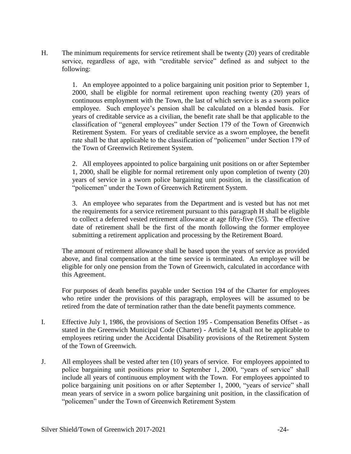H. The minimum requirements for service retirement shall be twenty (20) years of creditable service, regardless of age, with "creditable service" defined as and subject to the following:

> 1. An employee appointed to a police bargaining unit position prior to September 1, 2000, shall be eligible for normal retirement upon reaching twenty (20) years of continuous employment with the Town, the last of which service is as a sworn police employee. Such employee's pension shall be calculated on a blended basis. For years of creditable service as a civilian, the benefit rate shall be that applicable to the classification of "general employees" under Section 179 of the Town of Greenwich Retirement System. For years of creditable service as a sworn employee, the benefit rate shall be that applicable to the classification of "policemen" under Section 179 of the Town of Greenwich Retirement System.

> 2. All employees appointed to police bargaining unit positions on or after September 1, 2000, shall be eligible for normal retirement only upon completion of twenty (20) years of service in a sworn police bargaining unit position, in the classification of "policemen" under the Town of Greenwich Retirement System.

> 3. An employee who separates from the Department and is vested but has not met the requirements for a service retirement pursuant to this paragraph H shall be eligible to collect a deferred vested retirement allowance at age fifty-five (55). The effective date of retirement shall be the first of the month following the former employee submitting a retirement application and processing by the Retirement Board.

The amount of retirement allowance shall be based upon the years of service as provided above, and final compensation at the time service is terminated. An employee will be eligible for only one pension from the Town of Greenwich, calculated in accordance with this Agreement.

For purposes of death benefits payable under Section 194 of the Charter for employees who retire under the provisions of this paragraph, employees will be assumed to be retired from the date of termination rather than the date benefit payments commence.

- I. Effective July 1, 1986, the provisions of Section 195 Compensation Benefits Offset as stated in the Greenwich Municipal Code (Charter) - Article 14, shall not be applicable to employees retiring under the Accidental Disability provisions of the Retirement System of the Town of Greenwich.
- J. All employees shall be vested after ten (10) years of service. For employees appointed to police bargaining unit positions prior to September 1, 2000, "years of service" shall include all years of continuous employment with the Town. For employees appointed to police bargaining unit positions on or after September 1, 2000, "years of service" shall mean years of service in a sworn police bargaining unit position, in the classification of "policemen" under the Town of Greenwich Retirement System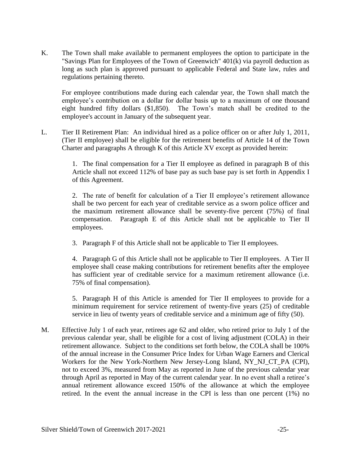K. The Town shall make available to permanent employees the option to participate in the "Savings Plan for Employees of the Town of Greenwich" 401(k) via payroll deduction as long as such plan is approved pursuant to applicable Federal and State law, rules and regulations pertaining thereto.

For employee contributions made during each calendar year, the Town shall match the employee's contribution on a dollar for dollar basis up to a maximum of one thousand eight hundred fifty dollars (\$1,850). The Town's match shall be credited to the employee's account in January of the subsequent year.

L. Tier II Retirement Plan: An individual hired as a police officer on or after July 1, 2011, (Tier II employee) shall be eligible for the retirement benefits of Article 14 of the Town Charter and paragraphs A through K of this Article XV except as provided herein:

> 1. The final compensation for a Tier II employee as defined in paragraph B of this Article shall not exceed 112% of base pay as such base pay is set forth in Appendix I of this Agreement.

> 2. The rate of benefit for calculation of a Tier II employee's retirement allowance shall be two percent for each year of creditable service as a sworn police officer and the maximum retirement allowance shall be seventy-five percent (75%) of final compensation. Paragraph E of this Article shall not be applicable to Tier II employees.

3. Paragraph F of this Article shall not be applicable to Tier II employees.

4. Paragraph G of this Article shall not be applicable to Tier II employees. A Tier II employee shall cease making contributions for retirement benefits after the employee has sufficient year of creditable service for a maximum retirement allowance (i.e. 75% of final compensation).

5. Paragraph H of this Article is amended for Tier II employees to provide for a minimum requirement for service retirement of twenty-five years (25) of creditable service in lieu of twenty years of creditable service and a minimum age of fifty (50).

M. Effective July 1 of each year, retirees age 62 and older, who retired prior to July 1 of the previous calendar year, shall be eligible for a cost of living adjustment (COLA) in their retirement allowance. Subject to the conditions set forth below, the COLA shall be 100% of the annual increase in the Consumer Price Index for Urban Wage Earners and Clerical Workers for the New York-Northern New Jersey-Long Island, NY\_NJ\_CT\_PA (CPI), not to exceed 3%, measured from May as reported in June of the previous calendar year through April as reported in May of the current calendar year. In no event shall a retiree's annual retirement allowance exceed 150% of the allowance at which the employee retired. In the event the annual increase in the CPI is less than one percent (1%) no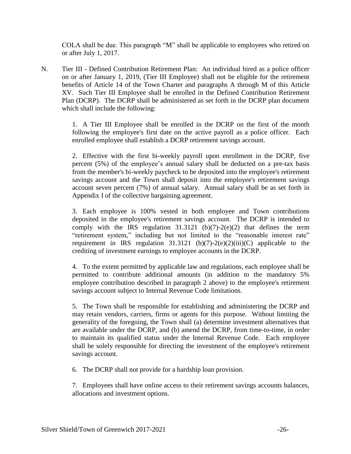COLA shall be due. This paragraph "M" shall be applicable to employees who retired on or after July 1, 2017.

N. Tier III - Defined Contribution Retirement Plan: An individual hired as a police officer on or after January 1, 2019, (Tier III Employee) shall not be eligible for the retirement benefits of Article 14 of the Town Charter and paragraphs A through M of this Article XV. Such Tier III Employee shall be enrolled in the Defined Contribution Retirement Plan (DCRP). The DCRP shall be administered as set forth in the DCRP plan document which shall include the following:

> 1. A Tier III Employee shall be enrolled in the DCRP on the first of the month following the employee's first date on the active payroll as a police officer. Each enrolled employee shall establish a DCRP retirement savings account.

> 2. Effective with the first bi-weekly payroll upon enrollment in the DCRP, five percent (5%) of the employee's annual salary shall be deducted on a pre-tax basis from the member's bi-weekly paycheck to be deposited into the employee's retirement savings account and the Town shall deposit into the employee's retirement savings account seven percent (7%) of annual salary. Annual salary shall be as set forth in Appendix I of the collective bargaining agreement.

> 3. Each employee is 100% vested in both employee and Town contributions deposited in the employee's retirement savings account. The DCRP is intended to comply with the IRS regulation  $31.3121$  (b)(7)-2(e)(2) that defines the term "retirement system," including but not limited to the "reasonable interest rate" requirement in IRS regulation  $31.3121$  (b)(7)-2(e)(2)(iii)(C) applicable to the crediting of investment earnings to employee accounts in the DCRP.

> 4. To the extent permitted by applicable law and regulations, each employee shall be permitted to contribute additional amounts (in addition to the mandatory 5% employee contribution described in paragraph 2 above) to the employee's retirement savings account subject to Internal Revenue Code limitations.

> 5. The Town shall be responsible for establishing and administering the DCRP and may retain vendors, carriers, firms or agents for this purpose. Without limiting the generality of the foregoing, the Town shall (a) determine investment alternatives that are available under the DCRP, and (b) amend the DCRP, from time-to-time, in order to maintain its qualified status under the Internal Revenue Code. Each employee shall be solely responsible for directing the investment of the employee's retirement savings account.

6. The DCRP shall not provide for a hardship loan provision.

7. Employees shall have online access to their retirement savings accounts balances, allocations and investment options.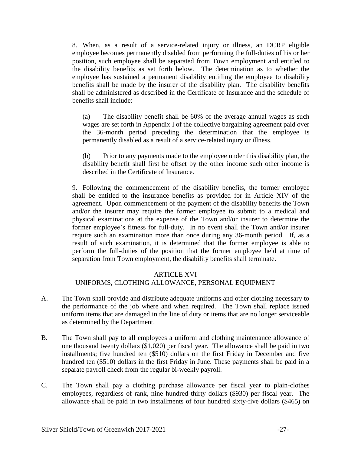8. When, as a result of a service-related injury or illness, an DCRP eligible employee becomes permanently disabled from performing the full-duties of his or her position, such employee shall be separated from Town employment and entitled to the disability benefits as set forth below. The determination as to whether the employee has sustained a permanent disability entitling the employee to disability benefits shall be made by the insurer of the disability plan. The disability benefits shall be administered as described in the Certificate of Insurance and the schedule of benefits shall include:

(a) The disability benefit shall be 60% of the average annual wages as such wages are set forth in Appendix I of the collective bargaining agreement paid over the 36-month period preceding the determination that the employee is permanently disabled as a result of a service-related injury or illness.

(b) Prior to any payments made to the employee under this disability plan, the disability benefit shall first be offset by the other income such other income is described in the Certificate of Insurance.

9. Following the commencement of the disability benefits, the former employee shall be entitled to the insurance benefits as provided for in Article XIV of the agreement. Upon commencement of the payment of the disability benefits the Town and/or the insurer may require the former employee to submit to a medical and physical examinations at the expense of the Town and/or insurer to determine the former employee's fitness for full-duty. In no event shall the Town and/or insurer require such an examination more than once during any 36-month period. If, as a result of such examination, it is determined that the former employee is able to perform the full-duties of the position that the former employee held at time of separation from Town employment, the disability benefits shall terminate.

#### ARTICLE XVI UNIFORMS, CLOTHING ALLOWANCE, PERSONAL EQUIPMENT

- A. The Town shall provide and distribute adequate uniforms and other clothing necessary to the performance of the job where and when required. The Town shall replace issued uniform items that are damaged in the line of duty or items that are no longer serviceable as determined by the Department.
- B. The Town shall pay to all employees a uniform and clothing maintenance allowance of one thousand twenty dollars (\$1,020) per fiscal year. The allowance shall be paid in two installments; five hundred ten (\$510) dollars on the first Friday in December and five hundred ten (\$510) dollars in the first Friday in June. These payments shall be paid in a separate payroll check from the regular bi-weekly payroll.
- C. The Town shall pay a clothing purchase allowance per fiscal year to plain-clothes employees, regardless of rank, nine hundred thirty dollars (\$930) per fiscal year. The allowance shall be paid in two installments of four hundred sixty-five dollars (\$465) on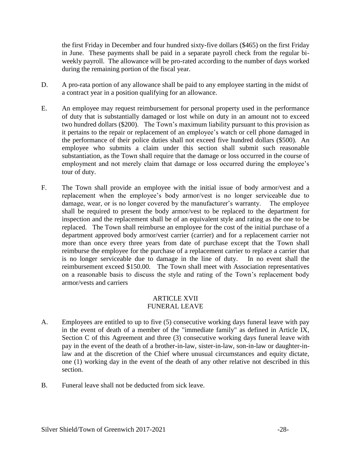the first Friday in December and four hundred sixty-five dollars (\$465) on the first Friday in June. These payments shall be paid in a separate payroll check from the regular biweekly payroll. The allowance will be pro-rated according to the number of days worked during the remaining portion of the fiscal year.

- D. A pro-rata portion of any allowance shall be paid to any employee starting in the midst of a contract year in a position qualifying for an allowance.
- E. An employee may request reimbursement for personal property used in the performance of duty that is substantially damaged or lost while on duty in an amount not to exceed two hundred dollars (\$200). The Town's maximum liability pursuant to this provision as it pertains to the repair or replacement of an employee's watch or cell phone damaged in the performance of their police duties shall not exceed five hundred dollars (\$500). An employee who submits a claim under this section shall submit such reasonable substantiation, as the Town shall require that the damage or loss occurred in the course of employment and not merely claim that damage or loss occurred during the employee's tour of duty.
- F. The Town shall provide an employee with the initial issue of body armor/vest and a replacement when the employee's body armor/vest is no longer serviceable due to damage, wear, or is no longer covered by the manufacturer's warranty. The employee shall be required to present the body armor/vest to be replaced to the department for inspection and the replacement shall be of an equivalent style and rating as the one to be replaced. The Town shall reimburse an employee for the cost of the initial purchase of a department approved body armor/vest carrier (carrier) and for a replacement carrier not more than once every three years from date of purchase except that the Town shall reimburse the employee for the purchase of a replacement carrier to replace a carrier that is no longer serviceable due to damage in the line of duty. In no event shall the reimbursement exceed \$150.00. The Town shall meet with Association representatives on a reasonable basis to discuss the style and rating of the Town's replacement body armor/vests and carriers

# ARTICLE XVII FUNERAL LEAVE

- A. Employees are entitled to up to five (5) consecutive working days funeral leave with pay in the event of death of a member of the "immediate family" as defined in Article IX, Section C of this Agreement and three (3) consecutive working days funeral leave with pay in the event of the death of a brother-in-law, sister-in-law, son-in-law or daughter-inlaw and at the discretion of the Chief where unusual circumstances and equity dictate, one (1) working day in the event of the death of any other relative not described in this section.
- B. Funeral leave shall not be deducted from sick leave.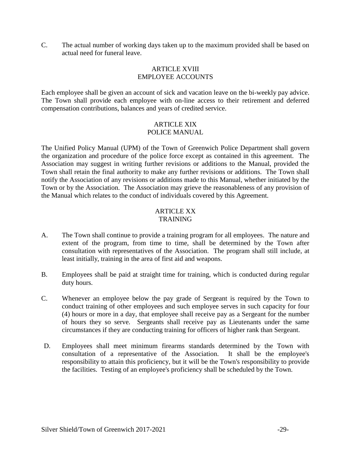C. The actual number of working days taken up to the maximum provided shall be based on actual need for funeral leave.

#### ARTICLE XVIII EMPLOYEE ACCOUNTS

Each employee shall be given an account of sick and vacation leave on the bi-weekly pay advice. The Town shall provide each employee with on-line access to their retirement and deferred compensation contributions, balances and years of credited service.

# ARTICLE XIX POLICE MANUAL

The Unified Policy Manual (UPM) of the Town of Greenwich Police Department shall govern the organization and procedure of the police force except as contained in this agreement. The Association may suggest in writing further revisions or additions to the Manual, provided the Town shall retain the final authority to make any further revisions or additions. The Town shall notify the Association of any revisions or additions made to this Manual, whether initiated by the Town or by the Association. The Association may grieve the reasonableness of any provision of the Manual which relates to the conduct of individuals covered by this Agreement.

#### ARTICLE XX TRAINING

- A. The Town shall continue to provide a training program for all employees. The nature and extent of the program, from time to time, shall be determined by the Town after consultation with representatives of the Association. The program shall still include, at least initially, training in the area of first aid and weapons.
- B. Employees shall be paid at straight time for training, which is conducted during regular duty hours.
- C. Whenever an employee below the pay grade of Sergeant is required by the Town to conduct training of other employees and such employee serves in such capacity for four (4) hours or more in a day, that employee shall receive pay as a Sergeant for the number of hours they so serve. Sergeants shall receive pay as Lieutenants under the same circumstances if they are conducting training for officers of higher rank than Sergeant.
- D. Employees shall meet minimum firearms standards determined by the Town with consultation of a representative of the Association. It shall be the employee's responsibility to attain this proficiency, but it will be the Town's responsibility to provide the facilities. Testing of an employee's proficiency shall be scheduled by the Town.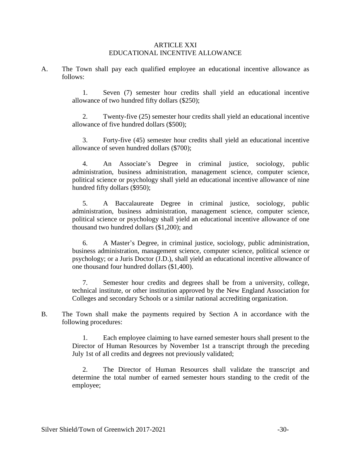#### ARTICLE XXI EDUCATIONAL INCENTIVE ALLOWANCE

A. The Town shall pay each qualified employee an educational incentive allowance as follows:

> 1. Seven (7) semester hour credits shall yield an educational incentive allowance of two hundred fifty dollars (\$250);

> 2. Twenty-five (25) semester hour credits shall yield an educational incentive allowance of five hundred dollars (\$500);

> 3. Forty-five (45) semester hour credits shall yield an educational incentive allowance of seven hundred dollars (\$700);

> 4. An Associate's Degree in criminal justice, sociology, public administration, business administration, management science, computer science, political science or psychology shall yield an educational incentive allowance of nine hundred fifty dollars (\$950);

> 5. A Baccalaureate Degree in criminal justice, sociology, public administration, business administration, management science, computer science, political science or psychology shall yield an educational incentive allowance of one thousand two hundred dollars (\$1,200); and

> 6. A Master's Degree, in criminal justice, sociology, public administration, business administration, management science, computer science, political science or psychology; or a Juris Doctor (J.D.), shall yield an educational incentive allowance of one thousand four hundred dollars (\$1,400).

> 7. Semester hour credits and degrees shall be from a university, college, technical institute, or other institution approved by the New England Association for Colleges and secondary Schools or a similar national accrediting organization.

B. The Town shall make the payments required by Section A in accordance with the following procedures:

> 1. Each employee claiming to have earned semester hours shall present to the Director of Human Resources by November 1st a transcript through the preceding July 1st of all credits and degrees not previously validated;

> 2. The Director of Human Resources shall validate the transcript and determine the total number of earned semester hours standing to the credit of the employee;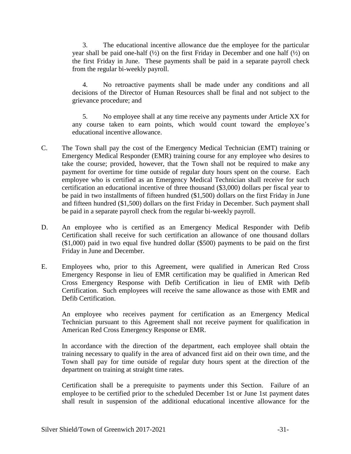3. The educational incentive allowance due the employee for the particular year shall be paid one-half  $(\frac{1}{2})$  on the first Friday in December and one half  $(\frac{1}{2})$  on the first Friday in June. These payments shall be paid in a separate payroll check from the regular bi-weekly payroll.

4. No retroactive payments shall be made under any conditions and all decisions of the Director of Human Resources shall be final and not subject to the grievance procedure; and

5. No employee shall at any time receive any payments under Article XX for any course taken to earn points, which would count toward the employee's educational incentive allowance.

- C. The Town shall pay the cost of the Emergency Medical Technician (EMT) training or Emergency Medical Responder (EMR) training course for any employee who desires to take the course; provided, however, that the Town shall not be required to make any payment for overtime for time outside of regular duty hours spent on the course. Each employee who is certified as an Emergency Medical Technician shall receive for such certification an educational incentive of three thousand (\$3,000) dollars per fiscal year to be paid in two installments of fifteen hundred (\$1,500) dollars on the first Friday in June and fifteen hundred (\$1,500) dollars on the first Friday in December. Such payment shall be paid in a separate payroll check from the regular bi-weekly payroll.
- D. An employee who is certified as an Emergency Medical Responder with Defib Certification shall receive for such certification an allowance of one thousand dollars (\$1,000) paid in two equal five hundred dollar (\$500) payments to be paid on the first Friday in June and December.
- E. Employees who, prior to this Agreement, were qualified in American Red Cross Emergency Response in lieu of EMR certification may be qualified in American Red Cross Emergency Response with Defib Certification in lieu of EMR with Defib Certification. Such employees will receive the same allowance as those with EMR and Defib Certification.

An employee who receives payment for certification as an Emergency Medical Technician pursuant to this Agreement shall not receive payment for qualification in American Red Cross Emergency Response or EMR.

In accordance with the direction of the department, each employee shall obtain the training necessary to qualify in the area of advanced first aid on their own time, and the Town shall pay for time outside of regular duty hours spent at the direction of the department on training at straight time rates.

Certification shall be a prerequisite to payments under this Section. Failure of an employee to be certified prior to the scheduled December 1st or June 1st payment dates shall result in suspension of the additional educational incentive allowance for the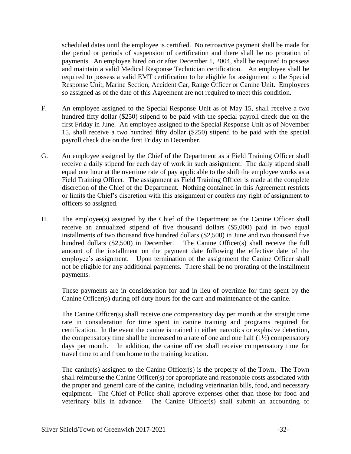scheduled dates until the employee is certified. No retroactive payment shall be made for the period or periods of suspension of certification and there shall be no proration of payments. An employee hired on or after December 1, 2004, shall be required to possess and maintain a valid Medical Response Technician certification. An employee shall be required to possess a valid EMT certification to be eligible for assignment to the Special Response Unit, Marine Section, Accident Car, Range Officer or Canine Unit. Employees so assigned as of the date of this Agreement are not required to meet this condition.

- F. An employee assigned to the Special Response Unit as of May 15, shall receive a two hundred fifty dollar (\$250) stipend to be paid with the special payroll check due on the first Friday in June. An employee assigned to the Special Response Unit as of November 15, shall receive a two hundred fifty dollar (\$250) stipend to be paid with the special payroll check due on the first Friday in December.
- G. An employee assigned by the Chief of the Department as a Field Training Officer shall receive a daily stipend for each day of work in such assignment. The daily stipend shall equal one hour at the overtime rate of pay applicable to the shift the employee works as a Field Training Officer. The assignment as Field Training Officer is made at the complete discretion of the Chief of the Department. Nothing contained in this Agreement restricts or limits the Chief's discretion with this assignment or confers any right of assignment to officers so assigned.
- H. The employee(s) assigned by the Chief of the Department as the Canine Officer shall receive an annualized stipend of five thousand dollars (\$5,000) paid in two equal installments of two thousand five hundred dollars (\$2,500) in June and two thousand five hundred dollars (\$2,500) in December. The Canine Officer(s) shall receive the full amount of the installment on the payment date following the effective date of the employee's assignment. Upon termination of the assignment the Canine Officer shall not be eligible for any additional payments. There shall be no prorating of the installment payments.

These payments are in consideration for and in lieu of overtime for time spent by the Canine Officer(s) during off duty hours for the care and maintenance of the canine.

The Canine Officer(s) shall receive one compensatory day per month at the straight time rate in consideration for time spent in canine training and programs required for certification. In the event the canine is trained in either narcotics or explosive detection, the compensatory time shall be increased to a rate of one and one half  $(1/2)$  compensatory days per month. In addition, the canine officer shall receive compensatory time for travel time to and from home to the training location.

The canine(s) assigned to the Canine Officer(s) is the property of the Town. The Town shall reimburse the Canine Officer(s) for appropriate and reasonable costs associated with the proper and general care of the canine, including veterinarian bills, food, and necessary equipment. The Chief of Police shall approve expenses other than those for food and veterinary bills in advance. The Canine Officer(s) shall submit an accounting of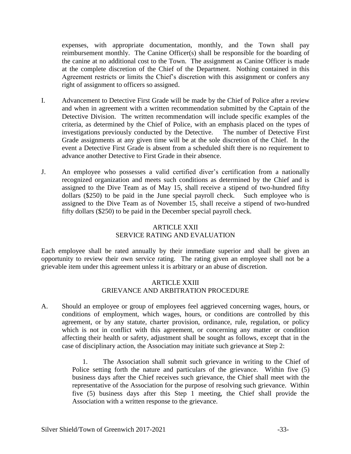expenses, with appropriate documentation, monthly, and the Town shall pay reimbursement monthly. The Canine Officer(s) shall be responsible for the boarding of the canine at no additional cost to the Town. The assignment as Canine Officer is made at the complete discretion of the Chief of the Department. Nothing contained in this Agreement restricts or limits the Chief's discretion with this assignment or confers any right of assignment to officers so assigned.

- I. Advancement to Detective First Grade will be made by the Chief of Police after a review and when in agreement with a written recommendation submitted by the Captain of the Detective Division. The written recommendation will include specific examples of the criteria, as determined by the Chief of Police, with an emphasis placed on the types of investigations previously conducted by the Detective. The number of Detective First Grade assignments at any given time will be at the sole discretion of the Chief. In the event a Detective First Grade is absent from a scheduled shift there is no requirement to advance another Detective to First Grade in their absence.
- J. An employee who possesses a valid certified diver's certification from a nationally recognized organization and meets such conditions as determined by the Chief and is assigned to the Dive Team as of May 15, shall receive a stipend of two-hundred fifty dollars (\$250) to be paid in the June special payroll check. Such employee who is assigned to the Dive Team as of November 15, shall receive a stipend of two-hundred fifty dollars (\$250) to be paid in the December special payroll check.

# ARTICLE XXII SERVICE RATING AND EVALUATION

Each employee shall be rated annually by their immediate superior and shall be given an opportunity to review their own service rating. The rating given an employee shall not be a grievable item under this agreement unless it is arbitrary or an abuse of discretion.

# ARTICLE XXIII GRIEVANCE AND ARBITRATION PROCEDURE

A. Should an employee or group of employees feel aggrieved concerning wages, hours, or conditions of employment, which wages, hours, or conditions are controlled by this agreement, or by any statute, charter provision, ordinance, rule, regulation, or policy which is not in conflict with this agreement, or concerning any matter or condition affecting their health or safety, adjustment shall be sought as follows, except that in the case of disciplinary action, the Association may initiate such grievance at Step 2:

> 1. The Association shall submit such grievance in writing to the Chief of Police setting forth the nature and particulars of the grievance. Within five (5) business days after the Chief receives such grievance, the Chief shall meet with the representative of the Association for the purpose of resolving such grievance. Within five (5) business days after this Step 1 meeting, the Chief shall provide the Association with a written response to the grievance.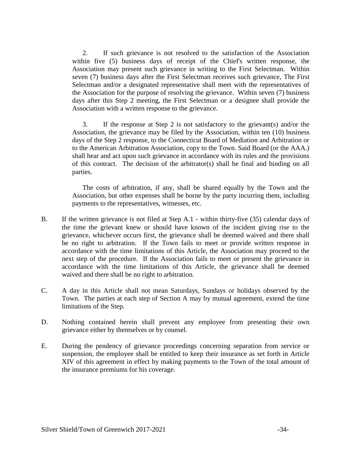2. If such grievance is not resolved to the satisfaction of the Association within five (5) business days of receipt of the Chief's written response, the Association may present such grievance in writing to the First Selectman. Within seven (7) business days after the First Selectman receives such grievance, The First Selectman and/or a designated representative shall meet with the representatives of the Association for the purpose of resolving the grievance. Within seven (7) business days after this Step 2 meeting, the First Selectman or a designee shall provide the Association with a written response to the grievance.

3. If the response at Step 2 is not satisfactory to the grievant(s) and/or the Association, the grievance may be filed by the Association, within ten (10) business days of the Step 2 response, to the Connecticut Board of Mediation and Arbitration or to the American Arbitration Association, copy to the Town. Said Board (or the AAA.) shall hear and act upon such grievance in accordance with its rules and the provisions of this contract. The decision of the arbitrator(s) shall be final and binding on all parties.

The costs of arbitration, if any, shall be shared equally by the Town and the Association, but other expenses shall be borne by the party incurring them, including payments to the representatives, witnesses, etc.

- B. If the written grievance is not filed at Step A.1 within thirty-five (35) calendar days of the time the grievant knew or should have known of the incident giving rise to the grievance, whichever occurs first, the grievance shall be deemed waived and there shall be no right to arbitration. If the Town fails to meet or provide written response in accordance with the time limitations of this Article, the Association may proceed to the next step of the procedure. If the Association fails to meet or present the grievance in accordance with the time limitations of this Article, the grievance shall be deemed waived and there shall be no right to arbitration.
- C. A day in this Article shall not mean Saturdays, Sundays or holidays observed by the Town. The parties at each step of Section A may by mutual agreement, extend the time limitations of the Step.
- D. Nothing contained herein shall prevent any employee from presenting their own grievance either by themselves or by counsel.
- E. During the pendency of grievance proceedings concerning separation from service or suspension, the employee shall be entitled to keep their insurance as set forth in Article XIV of this agreement in effect by making payments to the Town of the total amount of the insurance premiums for his coverage.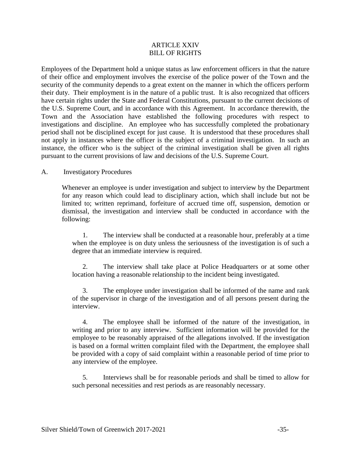# ARTICLE XXIV BILL OF RIGHTS

Employees of the Department hold a unique status as law enforcement officers in that the nature of their office and employment involves the exercise of the police power of the Town and the security of the community depends to a great extent on the manner in which the officers perform their duty. Their employment is in the nature of a public trust. It is also recognized that officers have certain rights under the State and Federal Constitutions, pursuant to the current decisions of the U.S. Supreme Court, and in accordance with this Agreement. In accordance therewith, the Town and the Association have established the following procedures with respect to investigations and discipline. An employee who has successfully completed the probationary period shall not be disciplined except for just cause. It is understood that these procedures shall not apply in instances where the officer is the subject of a criminal investigation. In such an instance, the officer who is the subject of the criminal investigation shall be given all rights pursuant to the current provisions of law and decisions of the U.S. Supreme Court.

#### A. Investigatory Procedures

Whenever an employee is under investigation and subject to interview by the Department for any reason which could lead to disciplinary action, which shall include but not be limited to; written reprimand, forfeiture of accrued time off, suspension, demotion or dismissal, the investigation and interview shall be conducted in accordance with the following:

1. The interview shall be conducted at a reasonable hour, preferably at a time when the employee is on duty unless the seriousness of the investigation is of such a degree that an immediate interview is required.

2. The interview shall take place at Police Headquarters or at some other location having a reasonable relationship to the incident being investigated.

3. The employee under investigation shall be informed of the name and rank of the supervisor in charge of the investigation and of all persons present during the interview.

4. The employee shall be informed of the nature of the investigation, in writing and prior to any interview. Sufficient information will be provided for the employee to be reasonably appraised of the allegations involved. If the investigation is based on a formal written complaint filed with the Department, the employee shall be provided with a copy of said complaint within a reasonable period of time prior to any interview of the employee.

5. Interviews shall be for reasonable periods and shall be timed to allow for such personal necessities and rest periods as are reasonably necessary.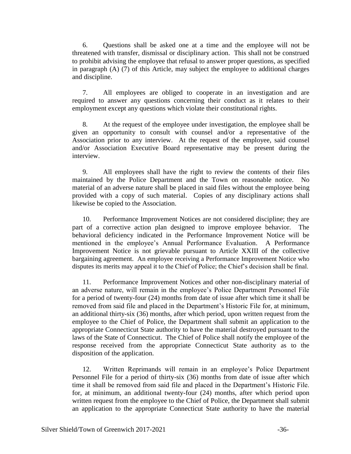6. Questions shall be asked one at a time and the employee will not be threatened with transfer, dismissal or disciplinary action. This shall not be construed to prohibit advising the employee that refusal to answer proper questions, as specified in paragraph (A) (7) of this Article, may subject the employee to additional charges and discipline.

7. All employees are obliged to cooperate in an investigation and are required to answer any questions concerning their conduct as it relates to their employment except any questions which violate their constitutional rights.

8. At the request of the employee under investigation, the employee shall be given an opportunity to consult with counsel and/or a representative of the Association prior to any interview. At the request of the employee, said counsel and/or Association Executive Board representative may be present during the interview.

9. All employees shall have the right to review the contents of their files maintained by the Police Department and the Town on reasonable notice. No material of an adverse nature shall be placed in said files without the employee being provided with a copy of such material. Copies of any disciplinary actions shall likewise be copied to the Association.

10. Performance Improvement Notices are not considered discipline; they are part of a corrective action plan designed to improve employee behavior. The behavioral deficiency indicated in the Performance Improvement Notice will be mentioned in the employee's Annual Performance Evaluation. A Performance Improvement Notice is not grievable pursuant to Article XXIII of the collective bargaining agreement. An employee receiving a Performance Improvement Notice who disputes its merits may appeal it to the Chief of Police; the Chief's decision shall be final.

11. Performance Improvement Notices and other non-disciplinary material of an adverse nature, will remain in the employee's Police Department Personnel File for a period of twenty-four (24) months from date of issue after which time it shall be removed from said file and placed in the Department's Historic File for, at minimum, an additional thirty-six (36) months, after which period, upon written request from the employee to the Chief of Police, the Department shall submit an application to the appropriate Connecticut State authority to have the material destroyed pursuant to the laws of the State of Connecticut. The Chief of Police shall notify the employee of the response received from the appropriate Connecticut State authority as to the disposition of the application.

12. Written Reprimands will remain in an employee's Police Department Personnel File for a period of thirty-six (36) months from date of issue after which time it shall be removed from said file and placed in the Department's Historic File. for, at minimum, an additional twenty-four (24) months, after which period upon written request from the employee to the Chief of Police, the Department shall submit an application to the appropriate Connecticut State authority to have the material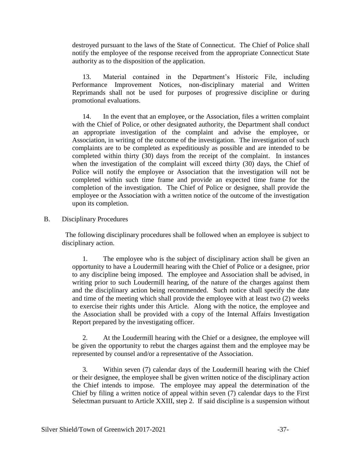destroyed pursuant to the laws of the State of Connecticut. The Chief of Police shall notify the employee of the response received from the appropriate Connecticut State authority as to the disposition of the application.

13. Material contained in the Department's Historic File, including Performance Improvement Notices, non-disciplinary material and Written Reprimands shall not be used for purposes of progressive discipline or during promotional evaluations.

14. In the event that an employee, or the Association, files a written complaint with the Chief of Police, or other designated authority, the Department shall conduct an appropriate investigation of the complaint and advise the employee, or Association, in writing of the outcome of the investigation. The investigation of such complaints are to be completed as expeditiously as possible and are intended to be completed within thirty (30) days from the receipt of the complaint. In instances when the investigation of the complaint will exceed thirty (30) days, the Chief of Police will notify the employee or Association that the investigation will not be completed within such time frame and provide an expected time frame for the completion of the investigation. The Chief of Police or designee, shall provide the employee or the Association with a written notice of the outcome of the investigation upon its completion.

# B. Disciplinary Procedures

 The following disciplinary procedures shall be followed when an employee is subject to disciplinary action.

1. The employee who is the subject of disciplinary action shall be given an opportunity to have a Loudermill hearing with the Chief of Police or a designee, prior to any discipline being imposed. The employee and Association shall be advised, in writing prior to such Loudermill hearing, of the nature of the charges against them and the disciplinary action being recommended. Such notice shall specify the date and time of the meeting which shall provide the employee with at least two (2) weeks to exercise their rights under this Article. Along with the notice, the employee and the Association shall be provided with a copy of the Internal Affairs Investigation Report prepared by the investigating officer.

2. At the Loudermill hearing with the Chief or a designee, the employee will be given the opportunity to rebut the charges against them and the employee may be represented by counsel and/or a representative of the Association.

3. Within seven (7) calendar days of the Loudermill hearing with the Chief or their designee, the employee shall be given written notice of the disciplinary action the Chief intends to impose. The employee may appeal the determination of the Chief by filing a written notice of appeal within seven (7) calendar days to the First Selectman pursuant to Article XXIII, step 2. If said discipline is a suspension without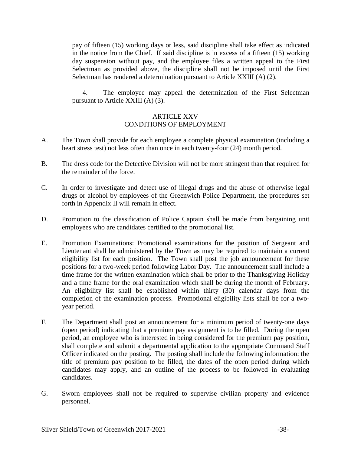pay of fifteen (15) working days or less, said discipline shall take effect as indicated in the notice from the Chief. If said discipline is in excess of a fifteen (15) working day suspension without pay, and the employee files a written appeal to the First Selectman as provided above, the discipline shall not be imposed until the First Selectman has rendered a determination pursuant to Article XXIII (A) (2).

4. The employee may appeal the determination of the First Selectman pursuant to Article XXIII (A) (3).

# ARTICLE XXV CONDITIONS OF EMPLOYMENT

- A. The Town shall provide for each employee a complete physical examination (including a heart stress test) not less often than once in each twenty-four (24) month period.
- B. The dress code for the Detective Division will not be more stringent than that required for the remainder of the force.
- C. In order to investigate and detect use of illegal drugs and the abuse of otherwise legal drugs or alcohol by employees of the Greenwich Police Department, the procedures set forth in Appendix II will remain in effect.
- D. Promotion to the classification of Police Captain shall be made from bargaining unit employees who are candidates certified to the promotional list.
- E. Promotion Examinations: Promotional examinations for the position of Sergeant and Lieutenant shall be administered by the Town as may be required to maintain a current eligibility list for each position. The Town shall post the job announcement for these positions for a two-week period following Labor Day. The announcement shall include a time frame for the written examination which shall be prior to the Thanksgiving Holiday and a time frame for the oral examination which shall be during the month of February. An eligibility list shall be established within thirty (30) calendar days from the completion of the examination process. Promotional eligibility lists shall be for a twoyear period.
- F. The Department shall post an announcement for a minimum period of twenty-one days (open period) indicating that a premium pay assignment is to be filled. During the open period, an employee who is interested in being considered for the premium pay position, shall complete and submit a departmental application to the appropriate Command Staff Officer indicated on the posting. The posting shall include the following information: the title of premium pay position to be filled, the dates of the open period during which candidates may apply, and an outline of the process to be followed in evaluating candidates.
- G. Sworn employees shall not be required to supervise civilian property and evidence personnel.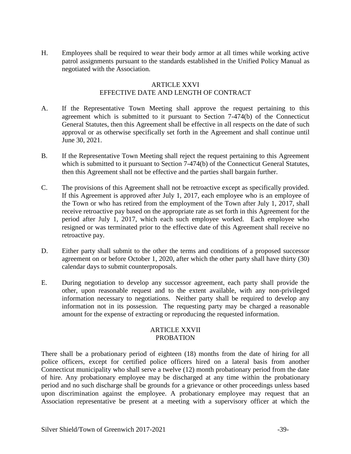H. Employees shall be required to wear their body armor at all times while working active patrol assignments pursuant to the standards established in the Unified Policy Manual as negotiated with the Association.

#### ARTICLE XXVI EFFECTIVE DATE AND LENGTH OF CONTRACT

- A. If the Representative Town Meeting shall approve the request pertaining to this agreement which is submitted to it pursuant to Section 7-474(b) of the Connecticut General Statutes, then this Agreement shall be effective in all respects on the date of such approval or as otherwise specifically set forth in the Agreement and shall continue until June 30, 2021.
- B. If the Representative Town Meeting shall reject the request pertaining to this Agreement which is submitted to it pursuant to Section 7-474(b) of the Connecticut General Statutes, then this Agreement shall not be effective and the parties shall bargain further.
- C. The provisions of this Agreement shall not be retroactive except as specifically provided. If this Agreement is approved after July 1, 2017, each employee who is an employee of the Town or who has retired from the employment of the Town after July 1, 2017, shall receive retroactive pay based on the appropriate rate as set forth in this Agreement for the period after July 1, 2017, which each such employee worked. Each employee who resigned or was terminated prior to the effective date of this Agreement shall receive no retroactive pay.
- D. Either party shall submit to the other the terms and conditions of a proposed successor agreement on or before October 1, 2020, after which the other party shall have thirty (30) calendar days to submit counterproposals.
- E. During negotiation to develop any successor agreement, each party shall provide the other, upon reasonable request and to the extent available, with any non-privileged information necessary to negotiations. Neither party shall be required to develop any information not in its possession. The requesting party may be charged a reasonable amount for the expense of extracting or reproducing the requested information.

#### ARTICLE XXVII PROBATION

There shall be a probationary period of eighteen (18) months from the date of hiring for all police officers, except for certified police officers hired on a lateral basis from another Connecticut municipality who shall serve a twelve (12) month probationary period from the date of hire. Any probationary employee may be discharged at any time within the probationary period and no such discharge shall be grounds for a grievance or other proceedings unless based upon discrimination against the employee. A probationary employee may request that an Association representative be present at a meeting with a supervisory officer at which the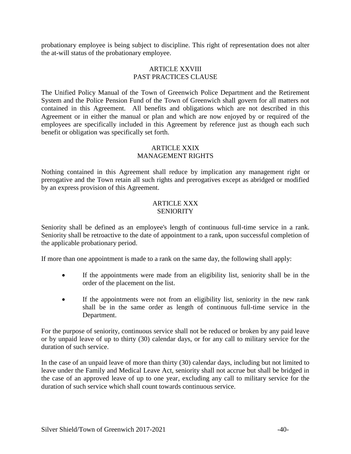probationary employee is being subject to discipline. This right of representation does not alter the at-will status of the probationary employee.

#### ARTICLE XXVIII PAST PRACTICES CLAUSE

The Unified Policy Manual of the Town of Greenwich Police Department and the Retirement System and the Police Pension Fund of the Town of Greenwich shall govern for all matters not contained in this Agreement. All benefits and obligations which are not described in this Agreement or in either the manual or plan and which are now enjoyed by or required of the employees are specifically included in this Agreement by reference just as though each such benefit or obligation was specifically set forth.

#### ARTICLE XXIX MANAGEMENT RIGHTS

Nothing contained in this Agreement shall reduce by implication any management right or prerogative and the Town retain all such rights and prerogatives except as abridged or modified by an express provision of this Agreement.

# ARTICLE XXX **SENIORITY**

Seniority shall be defined as an employee's length of continuous full-time service in a rank. Seniority shall be retroactive to the date of appointment to a rank, upon successful completion of the applicable probationary period.

If more than one appointment is made to a rank on the same day, the following shall apply:

- If the appointments were made from an eligibility list, seniority shall be in the order of the placement on the list.
- If the appointments were not from an eligibility list, seniority in the new rank shall be in the same order as length of continuous full-time service in the Department.

For the purpose of seniority, continuous service shall not be reduced or broken by any paid leave or by unpaid leave of up to thirty (30) calendar days, or for any call to military service for the duration of such service.

In the case of an unpaid leave of more than thirty (30) calendar days, including but not limited to leave under the Family and Medical Leave Act, seniority shall not accrue but shall be bridged in the case of an approved leave of up to one year, excluding any call to military service for the duration of such service which shall count towards continuous service.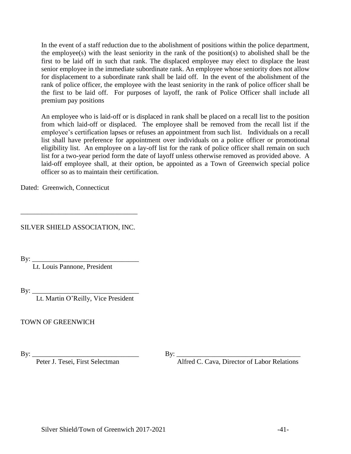In the event of a staff reduction due to the abolishment of positions within the police department, the employee(s) with the least seniority in the rank of the position(s) to abolished shall be the first to be laid off in such that rank. The displaced employee may elect to displace the least senior employee in the immediate subordinate rank. An employee whose seniority does not allow for displacement to a subordinate rank shall be laid off. In the event of the abolishment of the rank of police officer, the employee with the least seniority in the rank of police officer shall be the first to be laid off. For purposes of layoff, the rank of Police Officer shall include all premium pay positions

An employee who is laid-off or is displaced in rank shall be placed on a recall list to the position from which laid-off or displaced. The employee shall be removed from the recall list if the employee's certification lapses or refuses an appointment from such list. Individuals on a recall list shall have preference for appointment over individuals on a police officer or promotional eligibility list. An employee on a lay-off list for the rank of police officer shall remain on such list for a two-year period form the date of layoff unless otherwise removed as provided above. A laid-off employee shall, at their option, be appointed as a Town of Greenwich special police officer so as to maintain their certification.

Dated: Greenwich, Connecticut

SILVER SHIELD ASSOCIATION, INC.

\_\_\_\_\_\_\_\_\_\_\_\_\_\_\_\_\_\_\_\_\_\_\_\_\_\_\_\_\_\_\_\_\_\_

By: \_\_\_\_\_\_\_\_\_\_\_\_\_\_\_\_\_\_\_\_\_\_\_\_\_\_\_\_\_\_\_

Lt. Louis Pannone, President

By: \_\_\_\_\_\_\_\_\_\_\_\_\_\_\_\_\_\_\_\_\_\_\_\_\_\_\_\_\_\_\_

Lt. Martin O'Reilly, Vice President

TOWN OF GREENWICH

By: \_\_\_\_\_\_\_\_\_\_\_\_\_\_\_\_\_\_\_\_\_\_\_\_\_\_\_\_\_\_\_ By: \_\_\_\_\_\_\_\_\_\_\_\_\_\_\_\_\_\_\_\_\_\_\_\_\_\_\_\_\_\_\_\_\_\_\_\_ Alfred C. Cava, Director of Labor Relations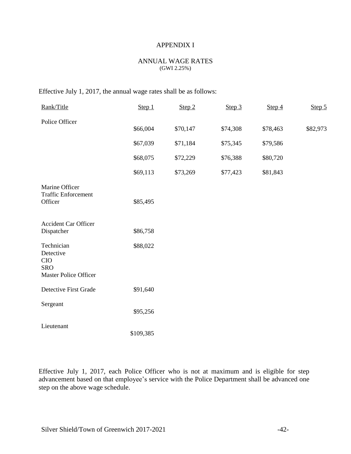#### ANNUAL WAGE RATES (GWI 2.25%)

# Effective July 1, 2017, the annual wage rates shall be as follows:

| Rank/Title                                                                          | Step 1    | Step 2   | Step 3   | Step 4   | Step 5   |
|-------------------------------------------------------------------------------------|-----------|----------|----------|----------|----------|
| Police Officer                                                                      | \$66,004  | \$70,147 | \$74,308 | \$78,463 | \$82,973 |
|                                                                                     | \$67,039  | \$71,184 | \$75,345 | \$79,586 |          |
|                                                                                     | \$68,075  | \$72,229 | \$76,388 | \$80,720 |          |
|                                                                                     | \$69,113  | \$73,269 | \$77,423 | \$81,843 |          |
| Marine Officer<br><b>Traffic Enforcement</b><br>Officer                             | \$85,495  |          |          |          |          |
| <b>Accident Car Officer</b><br>Dispatcher                                           | \$86,758  |          |          |          |          |
| Technician<br>Detective<br><b>CIO</b><br><b>SRO</b><br><b>Master Police Officer</b> | \$88,022  |          |          |          |          |
| <b>Detective First Grade</b>                                                        | \$91,640  |          |          |          |          |
| Sergeant                                                                            | \$95,256  |          |          |          |          |
| Lieutenant                                                                          | \$109,385 |          |          |          |          |

Effective July 1, 2017, each Police Officer who is not at maximum and is eligible for step advancement based on that employee's service with the Police Department shall be advanced one step on the above wage schedule.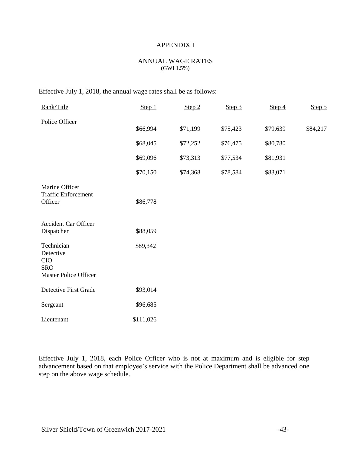#### ANNUAL WAGE RATES (GWI 1.5%)

# Effective July 1, 2018, the annual wage rates shall be as follows:

| Rank/Title                                                                   | Step 1    | Step 2   | Step 3   | Step 4   | Step 5   |
|------------------------------------------------------------------------------|-----------|----------|----------|----------|----------|
| Police Officer                                                               | \$66,994  | \$71,199 | \$75,423 | \$79,639 | \$84,217 |
|                                                                              | \$68,045  | \$72,252 | \$76,475 | \$80,780 |          |
|                                                                              | \$69,096  | \$73,313 | \$77,534 | \$81,931 |          |
|                                                                              | \$70,150  | \$74,368 | \$78,584 | \$83,071 |          |
| Marine Officer<br><b>Traffic Enforcement</b><br>Officer                      | \$86,778  |          |          |          |          |
| <b>Accident Car Officer</b><br>Dispatcher                                    | \$88,059  |          |          |          |          |
| Technician<br>Detective<br>CIO<br><b>SRO</b><br><b>Master Police Officer</b> | \$89,342  |          |          |          |          |
| Detective First Grade                                                        | \$93,014  |          |          |          |          |
| Sergeant                                                                     | \$96,685  |          |          |          |          |
| Lieutenant                                                                   | \$111,026 |          |          |          |          |

Effective July 1, 2018, each Police Officer who is not at maximum and is eligible for step advancement based on that employee's service with the Police Department shall be advanced one step on the above wage schedule.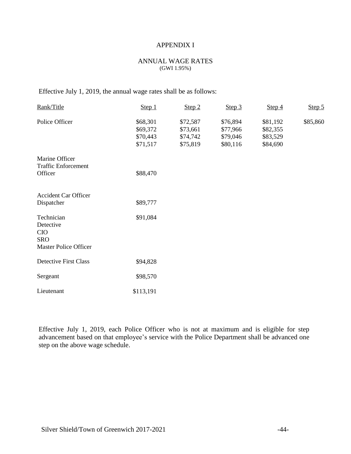#### ANNUAL WAGE RATES (GWI 1.95%)

Effective July 1, 2019, the annual wage rates shall be as follows:

| Rank/Title                                                                          | Step 1                                       | Step 2                                       | Step 3                                       | Step 4                                       | Step 5   |
|-------------------------------------------------------------------------------------|----------------------------------------------|----------------------------------------------|----------------------------------------------|----------------------------------------------|----------|
| Police Officer                                                                      | \$68,301<br>\$69,372<br>\$70,443<br>\$71,517 | \$72,587<br>\$73,661<br>\$74,742<br>\$75,819 | \$76,894<br>\$77,966<br>\$79,046<br>\$80,116 | \$81,192<br>\$82,355<br>\$83,529<br>\$84,690 | \$85,860 |
| Marine Officer<br><b>Traffic Enforcement</b><br>Officer                             | \$88,470                                     |                                              |                                              |                                              |          |
| <b>Accident Car Officer</b><br>Dispatcher                                           | \$89,777                                     |                                              |                                              |                                              |          |
| Technician<br>Detective<br><b>CIO</b><br><b>SRO</b><br><b>Master Police Officer</b> | \$91,084                                     |                                              |                                              |                                              |          |
| <b>Detective First Class</b>                                                        | \$94,828                                     |                                              |                                              |                                              |          |
| Sergeant                                                                            | \$98,570                                     |                                              |                                              |                                              |          |
| Lieutenant                                                                          | \$113,191                                    |                                              |                                              |                                              |          |

Effective July 1, 2019, each Police Officer who is not at maximum and is eligible for step advancement based on that employee's service with the Police Department shall be advanced one step on the above wage schedule.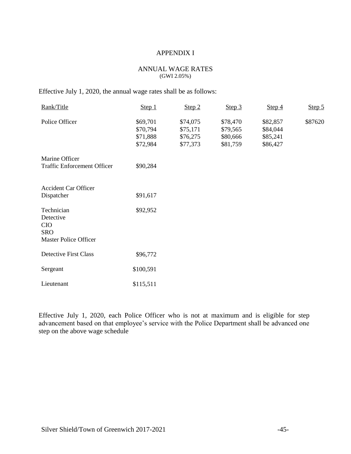#### ANNUAL WAGE RATES (GWI 2.05%)

Effective July 1, 2020, the annual wage rates shall be as follows:

| Rank/Title                                                                          | Step 1                                       | Step 2                                       | Step 3                                       | Step 4                                       | Step 5  |
|-------------------------------------------------------------------------------------|----------------------------------------------|----------------------------------------------|----------------------------------------------|----------------------------------------------|---------|
| Police Officer                                                                      | \$69,701<br>\$70,794<br>\$71,888<br>\$72,984 | \$74,075<br>\$75,171<br>\$76,275<br>\$77,373 | \$78,470<br>\$79,565<br>\$80,666<br>\$81,759 | \$82,857<br>\$84,044<br>\$85,241<br>\$86,427 | \$87620 |
| Marine Officer<br><b>Traffic Enforcement Officer</b>                                | \$90,284                                     |                                              |                                              |                                              |         |
| <b>Accident Car Officer</b><br>Dispatcher                                           | \$91,617                                     |                                              |                                              |                                              |         |
| Technician<br>Detective<br><b>CIO</b><br><b>SRO</b><br><b>Master Police Officer</b> | \$92,952                                     |                                              |                                              |                                              |         |
| <b>Detective First Class</b>                                                        | \$96,772                                     |                                              |                                              |                                              |         |
| Sergeant                                                                            | \$100,591                                    |                                              |                                              |                                              |         |
| Lieutenant                                                                          | \$115,511                                    |                                              |                                              |                                              |         |

Effective July 1, 2020, each Police Officer who is not at maximum and is eligible for step advancement based on that employee's service with the Police Department shall be advanced one step on the above wage schedule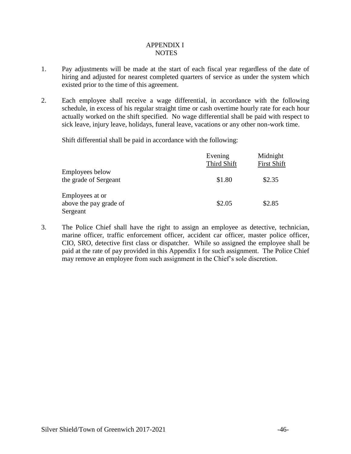# APPENDIX I NOTES

- 1. Pay adjustments will be made at the start of each fiscal year regardless of the date of hiring and adjusted for nearest completed quarters of service as under the system which existed prior to the time of this agreement.
- 2. Each employee shall receive a wage differential, in accordance with the following schedule, in excess of his regular straight time or cash overtime hourly rate for each hour actually worked on the shift specified. No wage differential shall be paid with respect to sick leave, injury leave, holidays, funeral leave, vacations or any other non-work time.

Shift differential shall be paid in accordance with the following:

|                                                       | Evening<br>Third Shift | Midnight<br><b>First Shift</b> |
|-------------------------------------------------------|------------------------|--------------------------------|
| <b>Employees below</b><br>the grade of Sergeant       | \$1.80                 | \$2.35                         |
| Employees at or<br>above the pay grade of<br>Sergeant | \$2.05                 | \$2.85                         |

3. The Police Chief shall have the right to assign an employee as detective, technician, marine officer, traffic enforcement officer, accident car officer, master police officer, CIO, SRO, detective first class or dispatcher. While so assigned the employee shall be paid at the rate of pay provided in this Appendix I for such assignment. The Police Chief may remove an employee from such assignment in the Chief's sole discretion.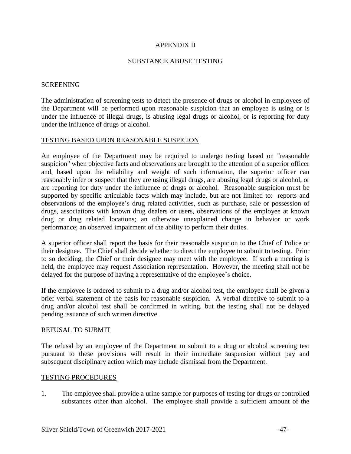#### SUBSTANCE ABUSE TESTING

#### SCREENING

The administration of screening tests to detect the presence of drugs or alcohol in employees of the Department will be performed upon reasonable suspicion that an employee is using or is under the influence of illegal drugs, is abusing legal drugs or alcohol, or is reporting for duty under the influence of drugs or alcohol.

#### TESTING BASED UPON REASONABLE SUSPICION

An employee of the Department may be required to undergo testing based on "reasonable suspicion" when objective facts and observations are brought to the attention of a superior officer and, based upon the reliability and weight of such information, the superior officer can reasonably infer or suspect that they are using illegal drugs, are abusing legal drugs or alcohol, or are reporting for duty under the influence of drugs or alcohol. Reasonable suspicion must be supported by specific articulable facts which may include, but are not limited to: reports and observations of the employee's drug related activities, such as purchase, sale or possession of drugs, associations with known drug dealers or users, observations of the employee at known drug or drug related locations; an otherwise unexplained change in behavior or work performance; an observed impairment of the ability to perform their duties.

A superior officer shall report the basis for their reasonable suspicion to the Chief of Police or their designee. The Chief shall decide whether to direct the employee to submit to testing. Prior to so deciding, the Chief or their designee may meet with the employee. If such a meeting is held, the employee may request Association representation. However, the meeting shall not be delayed for the purpose of having a representative of the employee's choice.

If the employee is ordered to submit to a drug and/or alcohol test, the employee shall be given a brief verbal statement of the basis for reasonable suspicion. A verbal directive to submit to a drug and/or alcohol test shall be confirmed in writing, but the testing shall not be delayed pending issuance of such written directive.

#### REFUSAL TO SUBMIT

The refusal by an employee of the Department to submit to a drug or alcohol screening test pursuant to these provisions will result in their immediate suspension without pay and subsequent disciplinary action which may include dismissal from the Department.

#### TESTING PROCEDURES

1. The employee shall provide a urine sample for purposes of testing for drugs or controlled substances other than alcohol. The employee shall provide a sufficient amount of the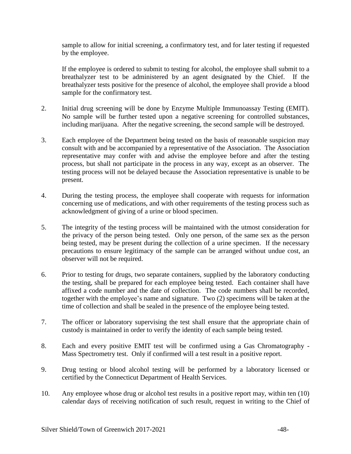sample to allow for initial screening, a confirmatory test, and for later testing if requested by the employee.

If the employee is ordered to submit to testing for alcohol, the employee shall submit to a breathalyzer test to be administered by an agent designated by the Chief. If the breathalyzer tests positive for the presence of alcohol, the employee shall provide a blood sample for the confirmatory test.

- 2. Initial drug screening will be done by Enzyme Multiple Immunoassay Testing (EMIT). No sample will be further tested upon a negative screening for controlled substances, including marijuana. After the negative screening, the second sample will be destroyed.
- 3. Each employee of the Department being tested on the basis of reasonable suspicion may consult with and be accompanied by a representative of the Association. The Association representative may confer with and advise the employee before and after the testing process, but shall not participate in the process in any way, except as an observer. The testing process will not be delayed because the Association representative is unable to be present.
- 4. During the testing process, the employee shall cooperate with requests for information concerning use of medications, and with other requirements of the testing process such as acknowledgment of giving of a urine or blood specimen.
- 5. The integrity of the testing process will be maintained with the utmost consideration for the privacy of the person being tested. Only one person, of the same sex as the person being tested, may be present during the collection of a urine specimen. If the necessary precautions to ensure legitimacy of the sample can be arranged without undue cost, an observer will not be required.
- 6. Prior to testing for drugs, two separate containers, supplied by the laboratory conducting the testing, shall be prepared for each employee being tested. Each container shall have affixed a code number and the date of collection. The code numbers shall be recorded, together with the employee's name and signature. Two (2) specimens will be taken at the time of collection and shall be sealed in the presence of the employee being tested.
- 7. The officer or laboratory supervising the test shall ensure that the appropriate chain of custody is maintained in order to verify the identity of each sample being tested.
- 8. Each and every positive EMIT test will be confirmed using a Gas Chromatography Mass Spectrometry test. Only if confirmed will a test result in a positive report.
- 9. Drug testing or blood alcohol testing will be performed by a laboratory licensed or certified by the Connecticut Department of Health Services.
- 10. Any employee whose drug or alcohol test results in a positive report may, within ten (10) calendar days of receiving notification of such result, request in writing to the Chief of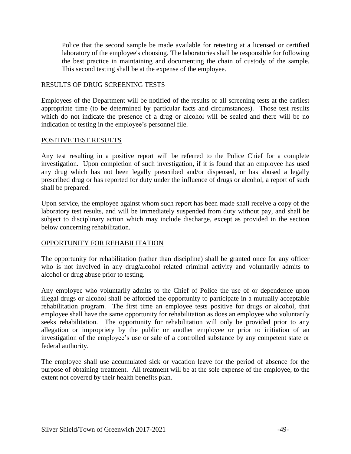Police that the second sample be made available for retesting at a licensed or certified laboratory of the employee's choosing. The laboratories shall be responsible for following the best practice in maintaining and documenting the chain of custody of the sample. This second testing shall be at the expense of the employee.

#### RESULTS OF DRUG SCREENING TESTS

Employees of the Department will be notified of the results of all screening tests at the earliest appropriate time (to be determined by particular facts and circumstances). Those test results which do not indicate the presence of a drug or alcohol will be sealed and there will be no indication of testing in the employee's personnel file.

#### POSITIVE TEST RESULTS

Any test resulting in a positive report will be referred to the Police Chief for a complete investigation. Upon completion of such investigation, if it is found that an employee has used any drug which has not been legally prescribed and/or dispensed, or has abused a legally prescribed drug or has reported for duty under the influence of drugs or alcohol, a report of such shall be prepared.

Upon service, the employee against whom such report has been made shall receive a copy of the laboratory test results, and will be immediately suspended from duty without pay, and shall be subject to disciplinary action which may include discharge, except as provided in the section below concerning rehabilitation.

#### OPPORTUNITY FOR REHABILITATION

The opportunity for rehabilitation (rather than discipline) shall be granted once for any officer who is not involved in any drug/alcohol related criminal activity and voluntarily admits to alcohol or drug abuse prior to testing.

Any employee who voluntarily admits to the Chief of Police the use of or dependence upon illegal drugs or alcohol shall be afforded the opportunity to participate in a mutually acceptable rehabilitation program. The first time an employee tests positive for drugs or alcohol, that employee shall have the same opportunity for rehabilitation as does an employee who voluntarily seeks rehabilitation. The opportunity for rehabilitation will only be provided prior to any allegation or impropriety by the public or another employee or prior to initiation of an investigation of the employee's use or sale of a controlled substance by any competent state or federal authority.

The employee shall use accumulated sick or vacation leave for the period of absence for the purpose of obtaining treatment. All treatment will be at the sole expense of the employee, to the extent not covered by their health benefits plan.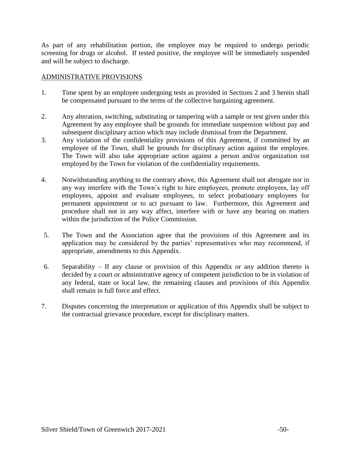As part of any rehabilitation portion, the employee may be required to undergo periodic screening for drugs or alcohol. If tested positive, the employee will be immediately suspended and will be subject to discharge.

# ADMINISTRATIVE PROVISIONS

- 1. Time spent by an employee undergoing tests as provided in Sections 2 and 3 herein shall be compensated pursuant to the terms of the collective bargaining agreement.
- 2. Any alteration, switching, substituting or tampering with a sample or test given under this Agreement by any employee shall be grounds for immediate suspension without pay and subsequent disciplinary action which may include dismissal from the Department.
- 3. Any violation of the confidentiality provisions of this Agreement, if committed by an employee of the Town, shall be grounds for disciplinary action against the employee. The Town will also take appropriate action against a person and/or organization not employed by the Town for violation of the confidentiality requirements.
- 4. Notwithstanding anything to the contrary above, this Agreement shall not abrogate nor in any way interfere with the Town's right to hire employees, promote employees, lay off employees, appoint and evaluate employees, to select probationary employees for permanent appointment or to act pursuant to law. Furthermore, this Agreement and procedure shall not in any way affect, interfere with or have any bearing on matters within the jurisdiction of the Police Commission.
- 5. The Town and the Association agree that the provisions of this Agreement and its application may be considered by the parties' representatives who may recommend, if appropriate, amendments to this Appendix.
- 6. Separability If any clause or provision of this Appendix or any addition thereto is decided by a court or administrative agency of competent jurisdiction to be in violation of any federal, state or local law, the remaining clauses and provisions of this Appendix shall remain in full force and effect.
- 7. Disputes concerning the interpretation or application of this Appendix shall be subject to the contractual grievance procedure, except for disciplinary matters.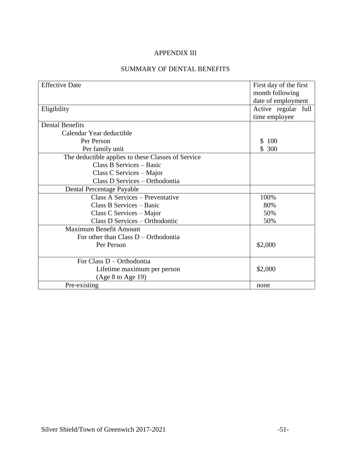# SUMMARY OF DENTAL BENEFITS

| <b>Effective Date</b>                              | First day of the first<br>month following |  |
|----------------------------------------------------|-------------------------------------------|--|
|                                                    | date of employment                        |  |
| Eligibility                                        | Active regular full                       |  |
|                                                    | time employee                             |  |
| <b>Dental Benefits</b>                             |                                           |  |
| Calendar Year deductible                           |                                           |  |
| Per Person                                         | 100<br>S.                                 |  |
| Per family unit                                    | \$300                                     |  |
| The deductible applies to these Classes of Service |                                           |  |
| Class B Services - Basic                           |                                           |  |
| Class C Services – Major                           |                                           |  |
| Class D Services - Orthodontia                     |                                           |  |
| Dental Percentage Payable                          |                                           |  |
| Class A Services - Preventative                    | 100%                                      |  |
| Class B Services – Basic                           | 80%                                       |  |
| Class C Services – Major                           | 50%                                       |  |
| Class D Services - Orthodontic                     | 50%                                       |  |
| Maximum Benefit Amount                             |                                           |  |
| For other than Class $D -$ Orthodontia             |                                           |  |
| Per Person                                         | \$2,000                                   |  |
|                                                    |                                           |  |
| For Class D – Orthodontia                          |                                           |  |
| Lifetime maximum per person                        | \$2,000                                   |  |
| (Age 8 to Age 19)                                  |                                           |  |
| Pre-existing                                       | none                                      |  |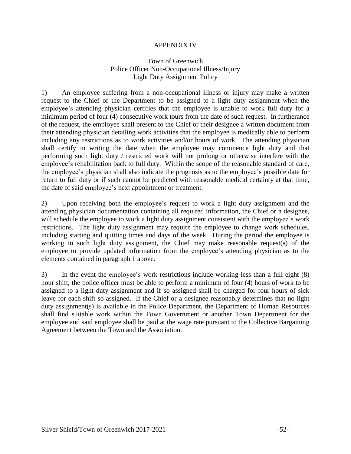# Town of Greenwich Police Officer Non-Occupational Illness/Injury Light Duty Assignment Policy

1) An employee suffering from a non-occupational illness or injury may make a written request to the Chief of the Department to be assigned to a light duty assignment when the employee's attending physician certifies that the employee is unable to work full duty for a minimum period of four (4) consecutive work tours from the date of such request. In furtherance of the request, the employee shall present to the Chief or their designee a written document from their attending physician detailing work activities that the employee is medically able to perform including any restrictions as to work activities and/or hours of work. The attending physician shall certify in writing the date when the employee may commence light duty and that performing such light duty / restricted work will not prolong or otherwise interfere with the employee's rehabilitation back to full duty. Within the scope of the reasonable standard of care, the employee's physician shall also indicate the prognosis as to the employee's possible date for return to full duty or if such cannot be predicted with reasonable medical certainty at that time, the date of said employee's next appointment or treatment.

2) Upon receiving both the employee's request to work a light duty assignment and the attending physician documentation containing all required information, the Chief or a designee, will schedule the employee to work a light duty assignment consistent with the employee's work restrictions. The light duty assignment may require the employee to change work schedules, including starting and quitting times and days of the week. During the period the employee is working in such light duty assignment, the Chief may make reasonable request(s) of the employee to provide updated information from the employee's attending physician as to the elements contained in paragraph 1 above.

3) In the event the employee's work restrictions include working less than a full eight (8) hour shift, the police officer must be able to perform a minimum of four (4) hours of work to be assigned to a light duty assignment and if so assigned shall be charged for four hours of sick leave for each shift so assigned. If the Chief or a designee reasonably determines that no light duty assignment(s) is available in the Police Department, the Department of Human Resources shall find suitable work within the Town Government or another Town Department for the employee and said employee shall be paid at the wage rate pursuant to the Collective Bargaining Agreement between the Town and the Association.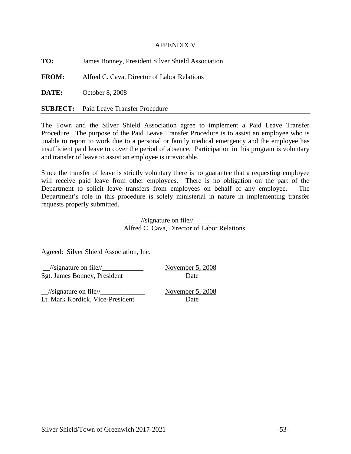#### APPENDIX V

**TO:** James Bonney, President Silver Shield Association

**FROM:** Alfred C. Cava, Director of Labor Relations

**DATE:** October 8, 2008

**SUBJECT:** Paid Leave Transfer Procedure

The Town and the Silver Shield Association agree to implement a Paid Leave Transfer Procedure. The purpose of the Paid Leave Transfer Procedure is to assist an employee who is unable to report to work due to a personal or family medical emergency and the employee has insufficient paid leave to cover the period of absence. Participation in this program is voluntary and transfer of leave to assist an employee is irrevocable.

Since the transfer of leave is strictly voluntary there is no guarantee that a requesting employee will receive paid leave from other employees. There is no obligation on the part of the Department to solicit leave transfers from employees on behalf of any employee. The Department's role in this procedure is solely ministerial in nature in implementing transfer requests properly submitted.

> $\frac{1}{\sqrt{2}}$  //signature on file// Alfred C. Cava, Director of Labor Relations

Agreed: Silver Shield Association, Inc.

\_\_//signature on file//\_\_\_\_\_\_\_\_\_\_\_\_ November 5, 2008 Sgt. James Bonney, President Date

 $\frac{1}{\text{N}}$  November 5, 2008 Lt. Mark Kordick, Vice-President Date

Silver Shield/Town of Greenwich 2017-2021 -53-